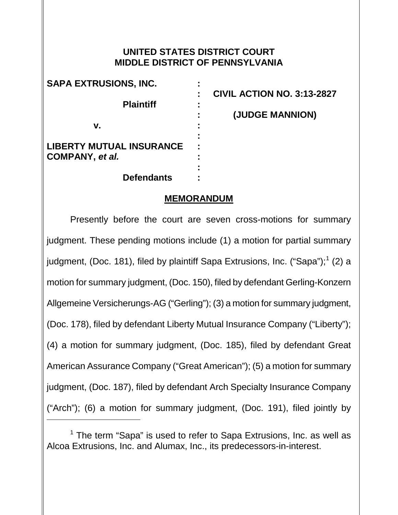#### **UNITED STATES DISTRICT COURT MIDDLE DISTRICT OF PENNSYLVANIA**

| ∥ SAPA EXTRUSIONS, INC.         |                                   |
|---------------------------------|-----------------------------------|
|                                 | <b>CIVIL ACTION NO. 3:13-2827</b> |
| <b>Plaintiff</b>                |                                   |
|                                 | (JUDGE MANNION)                   |
| v.                              |                                   |
|                                 |                                   |
| <b>LIBERTY MUTUAL INSURANCE</b> |                                   |
| ∥ COMPANY, <i>et al.</i>        |                                   |
|                                 |                                   |
| <b>Defendants</b>               |                                   |

#### **MEMORANDUM**

Presently before the court are seven cross-motions for summary judgment. These pending motions include (1) a motion for partial summary judgment, (Doc. [1](#page-0-0)81), filed by plaintiff Sapa Extrusions, Inc. ("Sapa");<sup>1</sup> (2) a motion for summary judgment, (Doc. 150), filed by defendant Gerling-Konzern Allgemeine Versicherungs-AG ("Gerling"); (3) a motion for summary judgment, (Doc. 178), filed by defendant Liberty Mutual Insurance Company ("Liberty"); (4) a motion for summary judgment, (Doc. 185), filed by defendant Great American Assurance Company ("Great American"); (5) a motion for summary judgment, (Doc. 187), filed by defendant Arch Specialty Insurance Company ("Arch"); (6) a motion for summary judgment, (Doc. 191), filed jointly by

 $\overline{a}$ 

<span id="page-0-0"></span> $1$  The term "Sapa" is used to refer to Sapa Extrusions, Inc. as well as Alcoa Extrusions, Inc. and Alumax, Inc., its predecessors-in-interest.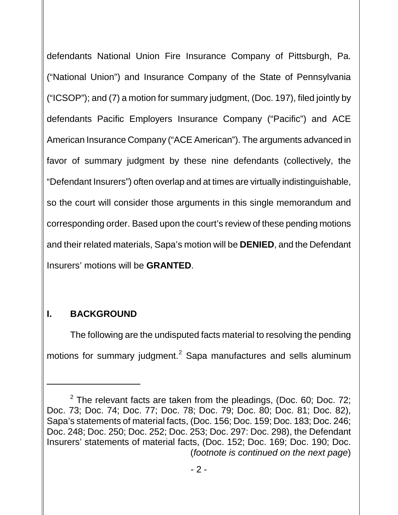defendants National Union Fire Insurance Company of Pittsburgh, Pa. ("National Union") and Insurance Company of the State of Pennsylvania ("ICSOP"); and (7) a motion for summary judgment, (Doc. 197), filed jointly by defendants Pacific Employers Insurance Company ("Pacific") and ACE American Insurance Company ("ACE American"). The arguments advanced in favor of summary judgment by these nine defendants (collectively, the "Defendant Insurers") often overlap and at times are virtually indistinguishable, so the court will consider those arguments in this single memorandum and corresponding order. Based upon the court's review of these pending motions and their related materials, Sapa's motion will be **DENIED**, and the Defendant Insurers' motions will be **GRANTED**.

## **I. BACKGROUND**

 $\overline{a}$ 

The following are the undisputed facts material to resolving the pending motions for summary judgment.<sup>[2](#page-1-0)</sup> Sapa manufactures and sells aluminum

<span id="page-1-0"></span> $2$  The relevant facts are taken from the pleadings, (Doc. 60; Doc. 72; Doc. 73; Doc. 74; Doc. 77; Doc. 78; Doc. 79; Doc. 80; Doc. 81; Doc. 82), Sapa's statements of material facts, (Doc. 156; Doc. 159; Doc. 183; Doc. 246; Doc. 248; Doc. 250; Doc. 252; Doc. 253; Doc. 297: Doc. 298), the Defendant Insurers' statements of material facts, (Doc. 152; Doc. 169; Doc. 190; Doc. (*footnote is continued on the next page*)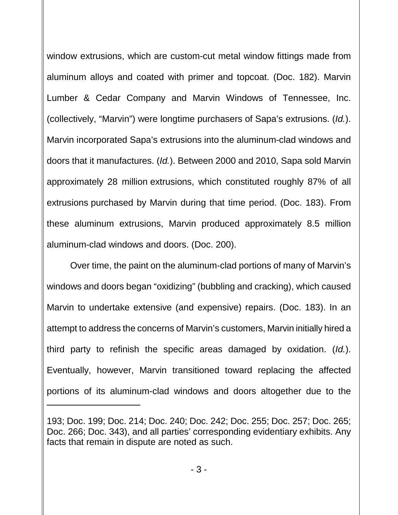window extrusions, which are custom-cut metal window fittings made from aluminum alloys and coated with primer and topcoat. (Doc. 182). Marvin Lumber & Cedar Company and Marvin Windows of Tennessee, Inc. (collectively, "Marvin") were longtime purchasers of Sapa's extrusions. (*Id.*). Marvin incorporated Sapa's extrusions into the aluminum-clad windows and doors that it manufactures. (*Id.*). Between 2000 and 2010, Sapa sold Marvin approximately 28 million extrusions, which constituted roughly 87% of all extrusions purchased by Marvin during that time period. (Doc. 183). From these aluminum extrusions, Marvin produced approximately 8.5 million aluminum-clad windows and doors. (Doc. 200).

Over time, the paint on the aluminum-clad portions of many of Marvin's windows and doors began "oxidizing" (bubbling and cracking), which caused Marvin to undertake extensive (and expensive) repairs. (Doc. 183). In an attempt to address the concerns of Marvin's customers, Marvin initially hired a third party to refinish the specific areas damaged by oxidation. (*Id.*). Eventually, however, Marvin transitioned toward replacing the affected portions of its aluminum-clad windows and doors altogether due to the

 $\overline{a}$ 

<sup>193;</sup> Doc. 199; Doc. 214; Doc. 240; Doc. 242; Doc. 255; Doc. 257; Doc. 265; Doc. 266; Doc. 343), and all parties' corresponding evidentiary exhibits. Any facts that remain in dispute are noted as such.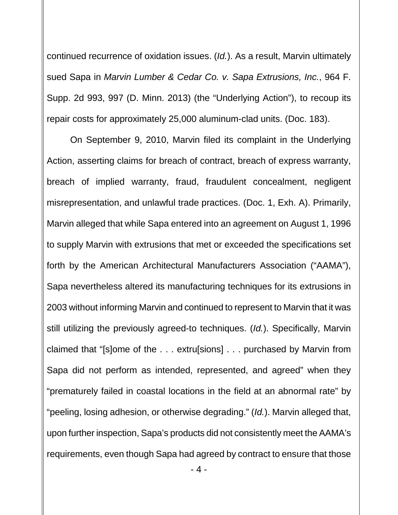continued recurrence of oxidation issues. (*Id.*). As a result, Marvin ultimately sued Sapa in *Marvin Lumber & Cedar Co. v. Sapa Extrusions, Inc.*, 964 F. Supp. 2d 993, 997 (D. Minn. 2013) (the "Underlying Action"), to recoup its repair costs for approximately 25,000 aluminum-clad units. (Doc. 183).

On September 9, 2010, Marvin filed its complaint in the Underlying Action, asserting claims for breach of contract, breach of express warranty, breach of implied warranty, fraud, fraudulent concealment, negligent misrepresentation, and unlawful trade practices. (Doc. 1, Exh. A). Primarily, Marvin alleged that while Sapa entered into an agreement on August 1, 1996 to supply Marvin with extrusions that met or exceeded the specifications set forth by the American Architectural Manufacturers Association ("AAMA"), Sapa nevertheless altered its manufacturing techniques for its extrusions in 2003 without informing Marvin and continued to represent to Marvin that it was still utilizing the previously agreed-to techniques. (*Id.*). Specifically, Marvin claimed that "[s]ome of the . . . extru[sions] . . . purchased by Marvin from Sapa did not perform as intended, represented, and agreed" when they "prematurely failed in coastal locations in the field at an abnormal rate" by "peeling, losing adhesion, or otherwise degrading." (*Id.*). Marvin alleged that, upon further inspection, Sapa's products did not consistently meet the AAMA's requirements, even though Sapa had agreed by contract to ensure that those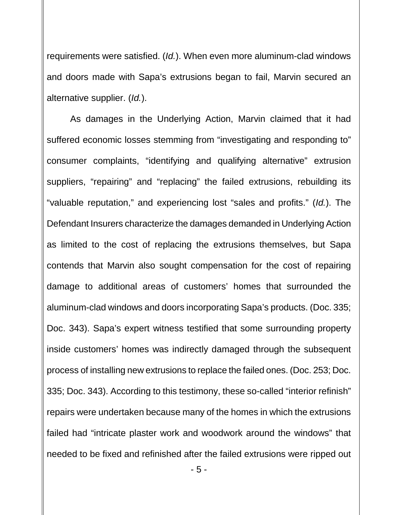requirements were satisfied. (*Id.*). When even more aluminum-clad windows and doors made with Sapa's extrusions began to fail, Marvin secured an alternative supplier. (*Id.*).

As damages in the Underlying Action, Marvin claimed that it had suffered economic losses stemming from "investigating and responding to" consumer complaints, "identifying and qualifying alternative" extrusion suppliers, "repairing" and "replacing" the failed extrusions, rebuilding its "valuable reputation," and experiencing lost "sales and profits." (*Id.*). The Defendant Insurers characterize the damages demanded in Underlying Action as limited to the cost of replacing the extrusions themselves, but Sapa contends that Marvin also sought compensation for the cost of repairing damage to additional areas of customers' homes that surrounded the aluminum-clad windows and doors incorporating Sapa's products. (Doc. 335; Doc. 343). Sapa's expert witness testified that some surrounding property inside customers' homes was indirectly damaged through the subsequent process of installing new extrusions to replace the failed ones. (Doc. 253; Doc. 335; Doc. 343). According to this testimony, these so-called "interior refinish" repairs were undertaken because many of the homes in which the extrusions failed had "intricate plaster work and woodwork around the windows" that needed to be fixed and refinished after the failed extrusions were ripped out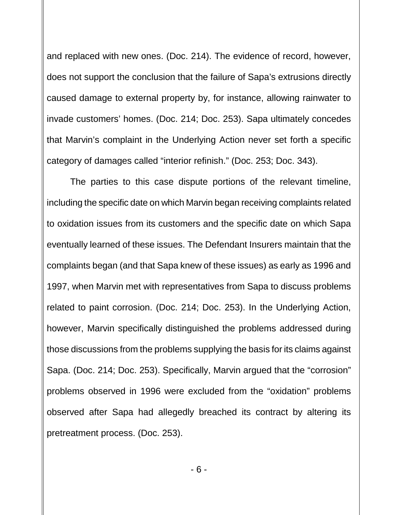and replaced with new ones. (Doc. 214). The evidence of record, however, does not support the conclusion that the failure of Sapa's extrusions directly caused damage to external property by, for instance, allowing rainwater to invade customers' homes. (Doc. 214; Doc. 253). Sapa ultimately concedes that Marvin's complaint in the Underlying Action never set forth a specific category of damages called "interior refinish." (Doc. 253; Doc. 343).

The parties to this case dispute portions of the relevant timeline, including the specific date on which Marvin began receiving complaints related to oxidation issues from its customers and the specific date on which Sapa eventually learned of these issues. The Defendant Insurers maintain that the complaints began (and that Sapa knew of these issues) as early as 1996 and 1997, when Marvin met with representatives from Sapa to discuss problems related to paint corrosion. (Doc. 214; Doc. 253). In the Underlying Action, however, Marvin specifically distinguished the problems addressed during those discussions from the problems supplying the basis for its claims against Sapa. (Doc. 214; Doc. 253). Specifically, Marvin argued that the "corrosion" problems observed in 1996 were excluded from the "oxidation" problems observed after Sapa had allegedly breached its contract by altering its pretreatment process. (Doc. 253).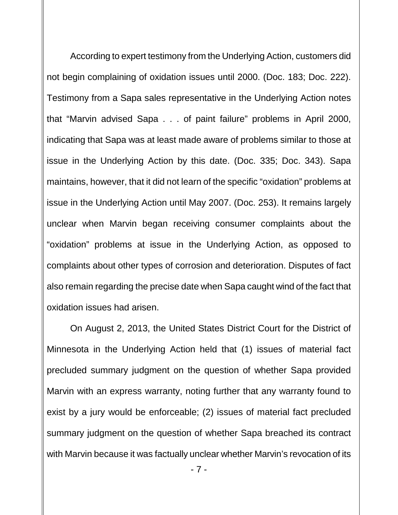According to expert testimony from the Underlying Action, customers did not begin complaining of oxidation issues until 2000. (Doc. 183; Doc. 222). Testimony from a Sapa sales representative in the Underlying Action notes that "Marvin advised Sapa . . . of paint failure" problems in April 2000, indicating that Sapa was at least made aware of problems similar to those at issue in the Underlying Action by this date. (Doc. 335; Doc. 343). Sapa maintains, however, that it did not learn of the specific "oxidation" problems at issue in the Underlying Action until May 2007. (Doc. 253). It remains largely unclear when Marvin began receiving consumer complaints about the "oxidation" problems at issue in the Underlying Action, as opposed to complaints about other types of corrosion and deterioration. Disputes of fact also remain regarding the precise date when Sapa caught wind of the fact that oxidation issues had arisen.

On August 2, 2013, the United States District Court for the District of Minnesota in the Underlying Action held that (1) issues of material fact precluded summary judgment on the question of whether Sapa provided Marvin with an express warranty, noting further that any warranty found to exist by a jury would be enforceable; (2) issues of material fact precluded summary judgment on the question of whether Sapa breached its contract with Marvin because it was factually unclear whether Marvin's revocation of its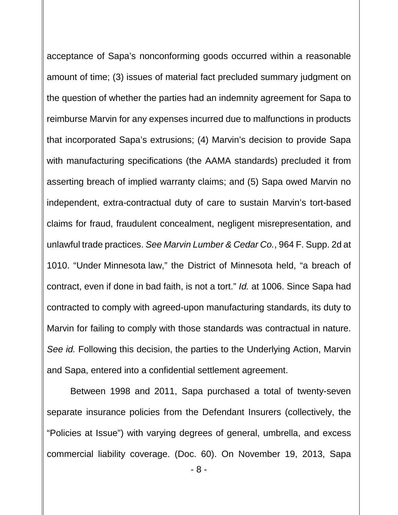acceptance of Sapa's nonconforming goods occurred within a reasonable amount of time; (3) issues of material fact precluded summary judgment on the question of whether the parties had an indemnity agreement for Sapa to reimburse Marvin for any expenses incurred due to malfunctions in products that incorporated Sapa's extrusions; (4) Marvin's decision to provide Sapa with manufacturing specifications (the AAMA standards) precluded it from asserting breach of implied warranty claims; and (5) Sapa owed Marvin no independent, extra-contractual duty of care to sustain Marvin's tort-based claims for fraud, fraudulent concealment, negligent misrepresentation, and unlawful trade practices. *See Marvin Lumber & Cedar Co.*, 964 F. Supp. 2d at 1010. "Under Minnesota law," the District of Minnesota held, "a breach of contract, even if done in bad faith, is not a tort." *Id.* at 1006. Since Sapa had contracted to comply with agreed-upon manufacturing standards, its duty to Marvin for failing to comply with those standards was contractual in nature. *See id.* Following this decision, the parties to the Underlying Action, Marvin and Sapa, entered into a confidential settlement agreement.

Between 1998 and 2011, Sapa purchased a total of twenty-seven separate insurance policies from the Defendant Insurers (collectively, the "Policies at Issue") with varying degrees of general, umbrella, and excess commercial liability coverage. (Doc. 60). On November 19, 2013, Sapa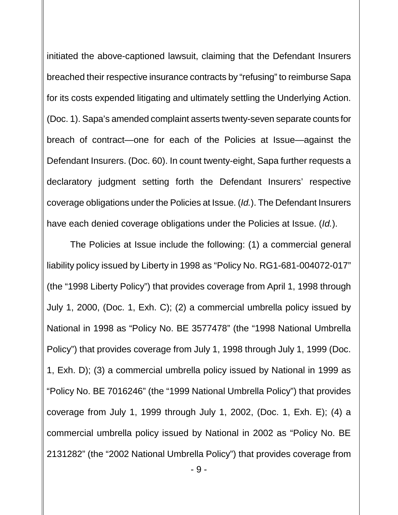initiated the above-captioned lawsuit, claiming that the Defendant Insurers breached their respective insurance contracts by "refusing" to reimburse Sapa for its costs expended litigating and ultimately settling the Underlying Action. (Doc. 1). Sapa's amended complaint asserts twenty-seven separate counts for breach of contract—one for each of the Policies at Issue—against the Defendant Insurers. (Doc. 60). In count twenty-eight, Sapa further requests a declaratory judgment setting forth the Defendant Insurers' respective coverage obligations under the Policies at Issue. (*Id.*). The Defendant Insurers have each denied coverage obligations under the Policies at Issue. (*Id.*).

The Policies at Issue include the following: (1) a commercial general liability policy issued by Liberty in 1998 as "Policy No. RG1-681-004072-017" (the "1998 Liberty Policy") that provides coverage from April 1, 1998 through July 1, 2000, (Doc. 1, Exh. C); (2) a commercial umbrella policy issued by National in 1998 as "Policy No. BE 3577478" (the "1998 National Umbrella Policy") that provides coverage from July 1, 1998 through July 1, 1999 (Doc. 1, Exh. D); (3) a commercial umbrella policy issued by National in 1999 as "Policy No. BE 7016246" (the "1999 National Umbrella Policy") that provides coverage from July 1, 1999 through July 1, 2002, (Doc. 1, Exh. E); (4) a commercial umbrella policy issued by National in 2002 as "Policy No. BE 2131282" (the "2002 National Umbrella Policy") that provides coverage from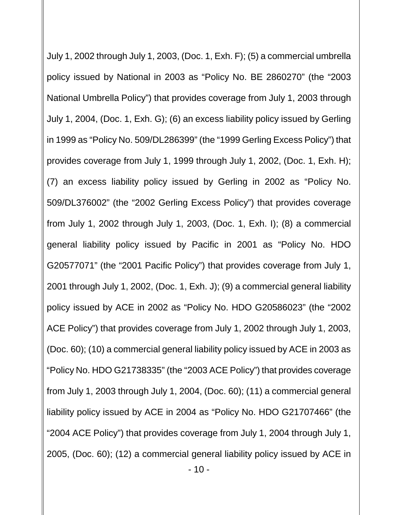July 1, 2002 through July 1, 2003, (Doc. 1, Exh. F); (5) a commercial umbrella policy issued by National in 2003 as "Policy No. BE 2860270" (the "2003 National Umbrella Policy") that provides coverage from July 1, 2003 through July 1, 2004, (Doc. 1, Exh. G); (6) an excess liability policy issued by Gerling in 1999 as "Policy No. 509/DL286399" (the "1999 Gerling Excess Policy") that provides coverage from July 1, 1999 through July 1, 2002, (Doc. 1, Exh. H); (7) an excess liability policy issued by Gerling in 2002 as "Policy No. 509/DL376002" (the "2002 Gerling Excess Policy") that provides coverage from July 1, 2002 through July 1, 2003, (Doc. 1, Exh. I); (8) a commercial general liability policy issued by Pacific in 2001 as "Policy No. HDO G20577071" (the "2001 Pacific Policy") that provides coverage from July 1, 2001 through July 1, 2002, (Doc. 1, Exh. J); (9) a commercial general liability policy issued by ACE in 2002 as "Policy No. HDO G20586023" (the "2002 ACE Policy") that provides coverage from July 1, 2002 through July 1, 2003, (Doc. 60); (10) a commercial general liability policy issued by ACE in 2003 as "Policy No. HDO G21738335" (the "2003 ACE Policy") that provides coverage from July 1, 2003 through July 1, 2004, (Doc. 60); (11) a commercial general liability policy issued by ACE in 2004 as "Policy No. HDO G21707466" (the "2004 ACE Policy") that provides coverage from July 1, 2004 through July 1, 2005, (Doc. 60); (12) a commercial general liability policy issued by ACE in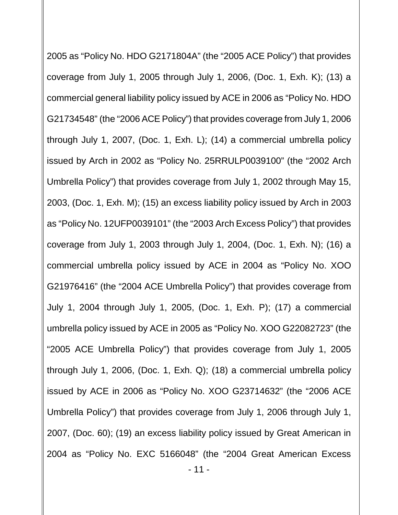2005 as "Policy No. HDO G2171804A" (the "2005 ACE Policy") that provides coverage from July 1, 2005 through July 1, 2006, (Doc. 1, Exh. K); (13) a commercial general liability policy issued by ACE in 2006 as "Policy No. HDO G21734548" (the "2006 ACE Policy") that provides coverage from July 1, 2006 through July 1, 2007, (Doc. 1, Exh. L); (14) a commercial umbrella policy issued by Arch in 2002 as "Policy No. 25RRULP0039100" (the "2002 Arch Umbrella Policy") that provides coverage from July 1, 2002 through May 15, 2003, (Doc. 1, Exh. M); (15) an excess liability policy issued by Arch in 2003 as "Policy No. 12UFP0039101" (the "2003 Arch Excess Policy") that provides coverage from July 1, 2003 through July 1, 2004, (Doc. 1, Exh. N); (16) a commercial umbrella policy issued by ACE in 2004 as "Policy No. XOO G21976416" (the "2004 ACE Umbrella Policy") that provides coverage from July 1, 2004 through July 1, 2005, (Doc. 1, Exh. P); (17) a commercial umbrella policy issued by ACE in 2005 as "Policy No. XOO G22082723" (the "2005 ACE Umbrella Policy") that provides coverage from July 1, 2005 through July 1, 2006, (Doc. 1, Exh. Q); (18) a commercial umbrella policy issued by ACE in 2006 as "Policy No. XOO G23714632" (the "2006 ACE Umbrella Policy") that provides coverage from July 1, 2006 through July 1, 2007, (Doc. 60); (19) an excess liability policy issued by Great American in 2004 as "Policy No. EXC 5166048" (the "2004 Great American Excess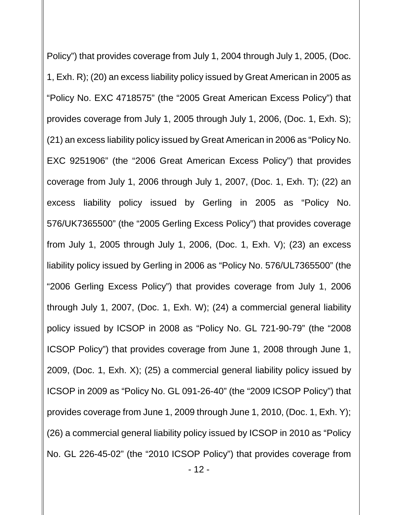- 12 - Policy") that provides coverage from July 1, 2004 through July 1, 2005, (Doc. 1, Exh. R); (20) an excess liability policy issued by Great American in 2005 as "Policy No. EXC 4718575" (the "2005 Great American Excess Policy") that provides coverage from July 1, 2005 through July 1, 2006, (Doc. 1, Exh. S); (21) an excess liability policy issued by Great American in 2006 as "Policy No. EXC 9251906" (the "2006 Great American Excess Policy") that provides coverage from July 1, 2006 through July 1, 2007, (Doc. 1, Exh. T); (22) an excess liability policy issued by Gerling in 2005 as "Policy No. 576/UK7365500" (the "2005 Gerling Excess Policy") that provides coverage from July 1, 2005 through July 1, 2006, (Doc. 1, Exh. V); (23) an excess liability policy issued by Gerling in 2006 as "Policy No. 576/UL7365500" (the "2006 Gerling Excess Policy") that provides coverage from July 1, 2006 through July 1, 2007, (Doc. 1, Exh. W); (24) a commercial general liability policy issued by ICSOP in 2008 as "Policy No. GL 721-90-79" (the "2008 ICSOP Policy") that provides coverage from June 1, 2008 through June 1, 2009, (Doc. 1, Exh. X); (25) a commercial general liability policy issued by ICSOP in 2009 as "Policy No. GL 091-26-40" (the "2009 ICSOP Policy") that provides coverage from June 1, 2009 through June 1, 2010, (Doc. 1, Exh. Y); (26) a commercial general liability policy issued by ICSOP in 2010 as "Policy No. GL 226-45-02" (the "2010 ICSOP Policy") that provides coverage from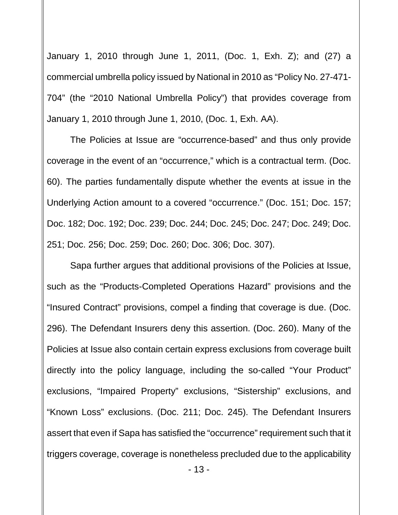January 1, 2010 through June 1, 2011, (Doc. 1, Exh. Z); and (27) a commercial umbrella policy issued by National in 2010 as "Policy No. 27-471- 704" (the "2010 National Umbrella Policy") that provides coverage from January 1, 2010 through June 1, 2010, (Doc. 1, Exh. AA).

The Policies at Issue are "occurrence-based" and thus only provide coverage in the event of an "occurrence," which is a contractual term. (Doc. 60). The parties fundamentally dispute whether the events at issue in the Underlying Action amount to a covered "occurrence." (Doc. 151; Doc. 157; Doc. 182; Doc. 192; Doc. 239; Doc. 244; Doc. 245; Doc. 247; Doc. 249; Doc. 251; Doc. 256; Doc. 259; Doc. 260; Doc. 306; Doc. 307).

Sapa further argues that additional provisions of the Policies at Issue, such as the "Products-Completed Operations Hazard" provisions and the "Insured Contract" provisions, compel a finding that coverage is due. (Doc. 296). The Defendant Insurers deny this assertion. (Doc. 260). Many of the Policies at Issue also contain certain express exclusions from coverage built directly into the policy language, including the so-called "Your Product" exclusions, "Impaired Property" exclusions, "Sistership" exclusions, and "Known Loss" exclusions. (Doc. 211; Doc. 245). The Defendant Insurers assert that even if Sapa has satisfied the "occurrence" requirement such that it triggers coverage, coverage is nonetheless precluded due to the applicability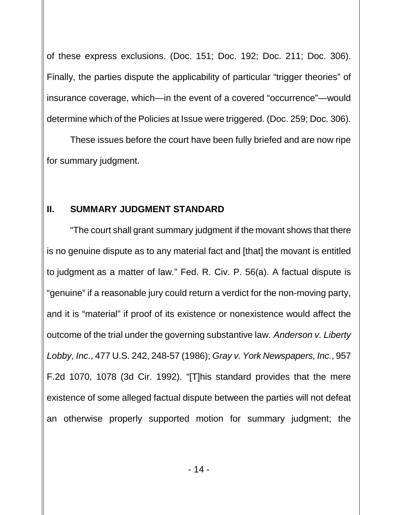of these express exclusions. (Doc. 151; Doc. 192; Doc. 211; Doc. 306). Finally, the parties dispute the applicability of particular "trigger theories" of insurance coverage, which—in the event of a covered "occurrence"—would determine which of the Policies at Issue were triggered. (Doc. 259; Doc. 306).

These issues before the court have been fully briefed and are now ripe for summary judgment.

## **II. SUMMARY JUDGMENT STANDARD**

"The court shall grant summary judgment if the movant shows that there is no genuine dispute as to any material fact and [that] the movant is entitled to judgment as a matter of law." Fed. R. Civ. P. 56(a). A factual dispute is "genuine" if a reasonable jury could return a verdict for the non-moving party, and it is "material" if proof of its existence or nonexistence would affect the outcome of the trial under the governing substantive law. *Anderson v. Liberty Lobby, Inc.*, 477 U.S. 242, 248-57 (1986); *Gray v. York Newspapers, Inc.*, 957 F.2d 1070, 1078 (3d Cir. 1992). "[T]his standard provides that the mere existence of some alleged factual dispute between the parties will not defeat an otherwise properly supported motion for summary judgment; the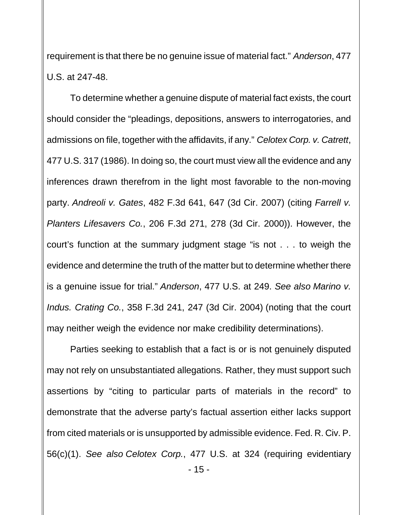requirement is that there be no genuine issue of material fact." *Anderson*, 477 U.S. at 247-48.

To determine whether a genuine dispute of material fact exists, the court should consider the "pleadings, depositions, answers to interrogatories, and admissions on file, together with the affidavits, if any." *Celotex Corp. v. Catrett*, 477 U.S. 317 (1986). In doing so, the court must view all the evidence and any inferences drawn therefrom in the light most favorable to the non-moving party. *Andreoli v. Gates*, 482 F.3d 641, 647 (3d Cir. 2007) (citing *Farrell v. Planters Lifesavers Co.*, 206 F.3d 271, 278 (3d Cir. 2000)). However, the court's function at the summary judgment stage "is not . . . to weigh the evidence and determine the truth of the matter but to determine whether there is a genuine issue for trial." *Anderson*, 477 U.S. at 249. *See also Marino v. Indus. Crating Co.*, 358 F.3d 241, 247 (3d Cir. 2004) (noting that the court may neither weigh the evidence nor make credibility determinations).

Parties seeking to establish that a fact is or is not genuinely disputed may not rely on unsubstantiated allegations. Rather, they must support such assertions by "citing to particular parts of materials in the record" to demonstrate that the adverse party's factual assertion either lacks support from cited materials or is unsupported by admissible evidence. Fed. R. Civ. P. 56(c)(1). *See also Celotex Corp.*, 477 U.S. at 324 (requiring evidentiary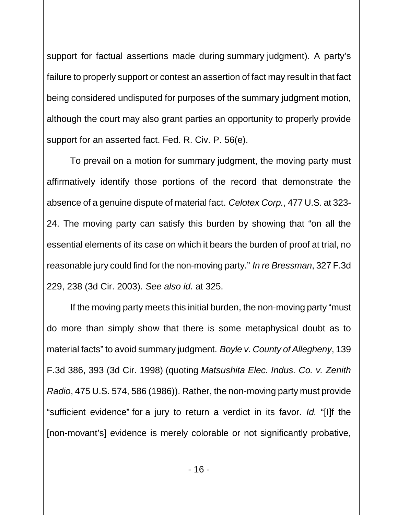support for factual assertions made during summary judgment). A party's failure to properly support or contest an assertion of fact may result in that fact being considered undisputed for purposes of the summary judgment motion, although the court may also grant parties an opportunity to properly provide support for an asserted fact. Fed. R. Civ. P. 56(e).

To prevail on a motion for summary judgment, the moving party must affirmatively identify those portions of the record that demonstrate the absence of a genuine dispute of material fact. *Celotex Corp.*, 477 U.S. at 323- 24. The moving party can satisfy this burden by showing that "on all the essential elements of its case on which it bears the burden of proof at trial, no reasonable jury could find for the non-moving party." *In re Bressman*, 327 F.3d 229, 238 (3d Cir. 2003). *See also id.* at 325.

If the moving party meets this initial burden, the non-moving party "must do more than simply show that there is some metaphysical doubt as to material facts" to avoid summary judgment. *Boyle v. County of Allegheny*, 139 F.3d 386, 393 (3d Cir. 1998) (quoting *Matsushita Elec. Indus. Co. v. Zenith Radio*, 475 U.S. 574, 586 (1986)). Rather, the non-moving party must provide "sufficient evidence" for a jury to return a verdict in its favor. *Id.* "[I]f the [non-movant's] evidence is merely colorable or not significantly probative,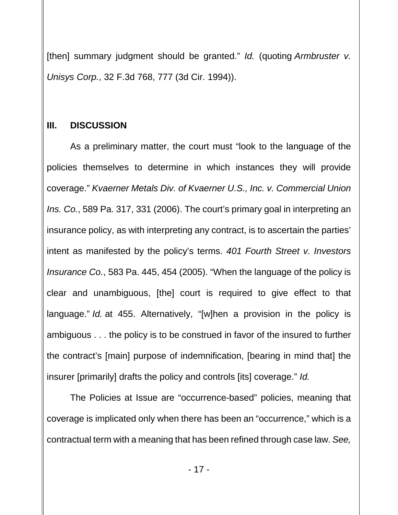[then] summary judgment should be granted." *Id.* (quoting *Armbruster v. Unisys Corp.*, 32 F.3d 768, 777 (3d Cir. 1994)).

## **III. DISCUSSION**

As a preliminary matter, the court must "look to the language of the policies themselves to determine in which instances they will provide coverage." *Kvaerner Metals Div. of Kvaerner U.S., Inc. v. Commercial Union Ins. Co.*, 589 Pa. 317, 331 (2006). The court's primary goal in interpreting an insurance policy, as with interpreting any contract, is to ascertain the parties' intent as manifested by the policy's terms. *401 Fourth Street v. Investors Insurance Co.*, 583 Pa. 445, 454 (2005). "When the language of the policy is clear and unambiguous, [the] court is required to give effect to that language." *Id.* at 455. Alternatively, "[w]hen a provision in the policy is ambiguous . . . the policy is to be construed in favor of the insured to further the contract's [main] purpose of indemnification, [bearing in mind that] the insurer [primarily] drafts the policy and controls [its] coverage." *Id.*

The Policies at Issue are "occurrence-based" policies, meaning that coverage is implicated only when there has been an "occurrence," which is a contractual term with a meaning that has been refined through case law. *See,*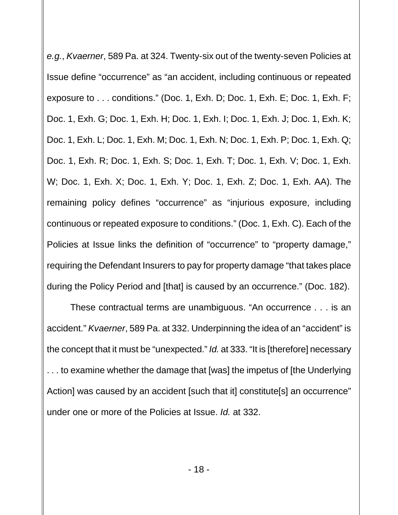*e.g.*, *Kvaerner*, 589 Pa. at 324. Twenty-six out of the twenty-seven Policies at Issue define "occurrence" as "an accident, including continuous or repeated exposure to . . . conditions." (Doc. 1, Exh. D; Doc. 1, Exh. E; Doc. 1, Exh. F; Doc. 1, Exh. G; Doc. 1, Exh. H; Doc. 1, Exh. I; Doc. 1, Exh. J; Doc. 1, Exh. K; Doc. 1, Exh. L; Doc. 1, Exh. M; Doc. 1, Exh. N; Doc. 1, Exh. P; Doc. 1, Exh. Q; Doc. 1, Exh. R; Doc. 1, Exh. S; Doc. 1, Exh. T; Doc. 1, Exh. V; Doc. 1, Exh. W; Doc. 1, Exh. X; Doc. 1, Exh. Y; Doc. 1, Exh. Z; Doc. 1, Exh. AA). The remaining policy defines "occurrence" as "injurious exposure, including continuous or repeated exposure to conditions." (Doc. 1, Exh. C). Each of the Policies at Issue links the definition of "occurrence" to "property damage," requiring the Defendant Insurers to pay for property damage "that takes place during the Policy Period and [that] is caused by an occurrence." (Doc. 182).

These contractual terms are unambiguous. "An occurrence . . . is an accident." *Kvaerner*, 589 Pa. at 332. Underpinning the idea of an "accident" is the concept that it must be "unexpected." *Id.* at 333. "It is [therefore] necessary . . . to examine whether the damage that [was] the impetus of [the Underlying Action] was caused by an accident [such that it] constitute[s] an occurrence" under one or more of the Policies at Issue. *Id.* at 332.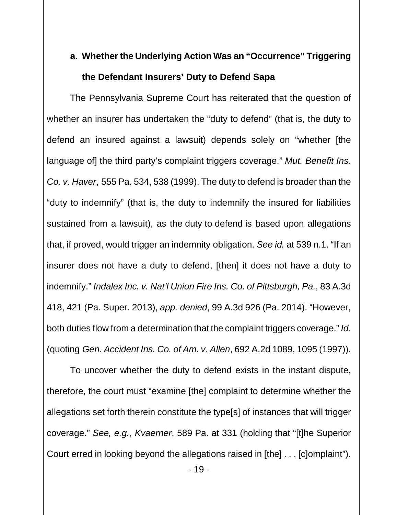# **a. Whether the Underlying Action Was an "Occurrence" Triggering the Defendant Insurers' Duty to Defend Sapa**

The Pennsylvania Supreme Court has reiterated that the question of whether an insurer has undertaken the "duty to defend" (that is, the duty to defend an insured against a lawsuit) depends solely on "whether [the language of] the third party's complaint triggers coverage." *Mut. Benefit Ins. Co. v. Haver*, 555 Pa. 534, 538 (1999). The duty to defend is broader than the "duty to indemnify" (that is, the duty to indemnify the insured for liabilities sustained from a lawsuit), as the duty to defend is based upon allegations that, if proved, would trigger an indemnity obligation. *See id.* at 539 n.1. "If an insurer does not have a duty to defend, [then] it does not have a duty to indemnify." *Indalex Inc. v. Nat'l Union Fire Ins. Co. of Pittsburgh, Pa.*, 83 A.3d 418, 421 (Pa. Super. 2013), *app. denied*, 99 A.3d 926 (Pa. 2014). "However, both duties flow from a determination that the complaint triggers coverage." *Id.* (quoting *Gen. Accident Ins. Co. of Am. v. Allen*, 692 A.2d 1089, 1095 (1997)).

To uncover whether the duty to defend exists in the instant dispute, therefore, the court must "examine [the] complaint to determine whether the allegations set forth therein constitute the type[s] of instances that will trigger coverage." *See, e.g.*, *Kvaerner*, 589 Pa. at 331 (holding that "[t]he Superior Court erred in looking beyond the allegations raised in [the] . . . [c]omplaint").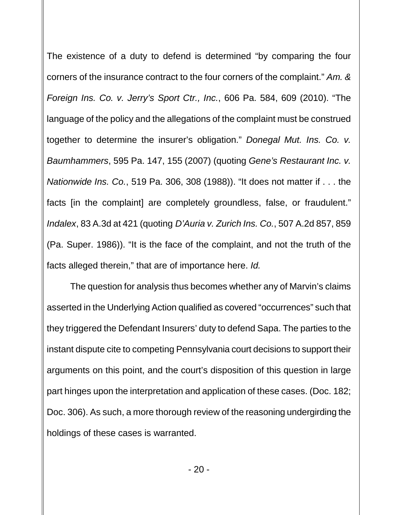The existence of a duty to defend is determined "by comparing the four corners of the insurance contract to the four corners of the complaint." *Am. & Foreign Ins. Co. v. Jerry's Sport Ctr., Inc.*, 606 Pa. 584, 609 (2010). "The language of the policy and the allegations of the complaint must be construed together to determine the insurer's obligation." *Donegal Mut. Ins. Co. v. Baumhammers*, 595 Pa. 147, 155 (2007) (quoting *Gene's Restaurant Inc. v. Nationwide Ins. Co.*, 519 Pa. 306, 308 (1988)). "It does not matter if . . . the facts [in the complaint] are completely groundless, false, or fraudulent." *Indalex*, 83 A.3d at 421 (quoting *D'Auria v. Zurich Ins. Co.*, 507 A.2d 857, 859 (Pa. Super. 1986)). "It is the face of the complaint, and not the truth of the facts alleged therein," that are of importance here. *Id.*

The question for analysis thus becomes whether any of Marvin's claims asserted in the Underlying Action qualified as covered "occurrences" such that they triggered the Defendant Insurers' duty to defend Sapa. The parties to the instant dispute cite to competing Pennsylvania court decisions to support their arguments on this point, and the court's disposition of this question in large part hinges upon the interpretation and application of these cases. (Doc. 182; Doc. 306). As such, a more thorough review of the reasoning undergirding the holdings of these cases is warranted.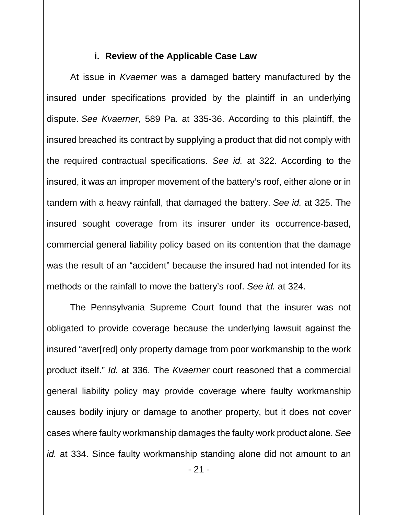#### **i. Review of the Applicable Case Law**

At issue in *Kvaerner* was a damaged battery manufactured by the insured under specifications provided by the plaintiff in an underlying dispute. *See Kvaerner*, 589 Pa. at 335-36. According to this plaintiff, the insured breached its contract by supplying a product that did not comply with the required contractual specifications. *See id.* at 322. According to the insured, it was an improper movement of the battery's roof, either alone or in tandem with a heavy rainfall, that damaged the battery. *See id.* at 325. The insured sought coverage from its insurer under its occurrence-based, commercial general liability policy based on its contention that the damage was the result of an "accident" because the insured had not intended for its methods or the rainfall to move the battery's roof. *See id.* at 324.

The Pennsylvania Supreme Court found that the insurer was not obligated to provide coverage because the underlying lawsuit against the insured "aver[red] only property damage from poor workmanship to the work product itself." *Id.* at 336. The *Kvaerner* court reasoned that a commercial general liability policy may provide coverage where faulty workmanship causes bodily injury or damage to another property, but it does not cover cases where faulty workmanship damages the faulty work product alone. *See id.* at 334. Since faulty workmanship standing alone did not amount to an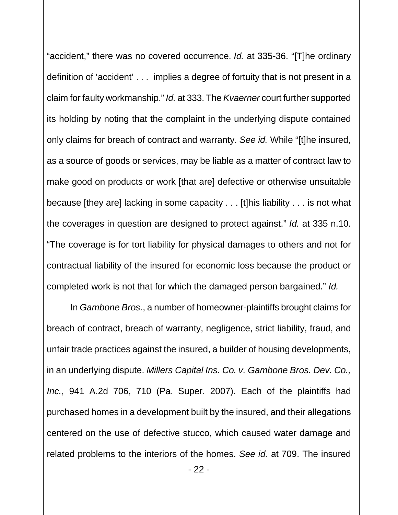"accident," there was no covered occurrence. *Id.* at 335-36. "[T]he ordinary definition of 'accident' . . . implies a degree of fortuity that is not present in a claim for faulty workmanship." *Id.* at 333. The *Kvaerner* court further supported its holding by noting that the complaint in the underlying dispute contained only claims for breach of contract and warranty. *See id.* While "[t]he insured, as a source of goods or services, may be liable as a matter of contract law to make good on products or work [that are] defective or otherwise unsuitable because [they are] lacking in some capacity . . . [t]his liability . . . is not what the coverages in question are designed to protect against." *Id.* at 335 n.10. "The coverage is for tort liability for physical damages to others and not for contractual liability of the insured for economic loss because the product or completed work is not that for which the damaged person bargained." *Id.*

In *Gambone Bros.*, a number of homeowner-plaintiffs brought claims for breach of contract, breach of warranty, negligence, strict liability, fraud, and unfair trade practices against the insured, a builder of housing developments, in an underlying dispute. *Millers Capital Ins. Co. v. Gambone Bros. Dev. Co., Inc.*, 941 A.2d 706, 710 (Pa. Super. 2007). Each of the plaintiffs had purchased homes in a development built by the insured, and their allegations centered on the use of defective stucco, which caused water damage and related problems to the interiors of the homes. *See id.* at 709. The insured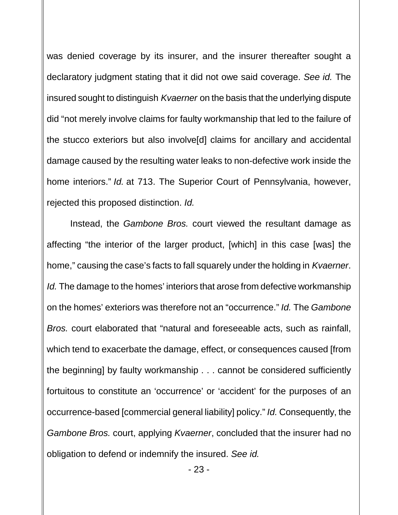was denied coverage by its insurer, and the insurer thereafter sought a declaratory judgment stating that it did not owe said coverage. *See id.* The insured sought to distinguish *Kvaerner* on the basis that the underlying dispute did "not merely involve claims for faulty workmanship that led to the failure of the stucco exteriors but also involve[d] claims for ancillary and accidental damage caused by the resulting water leaks to non-defective work inside the home interiors." *Id.* at 713. The Superior Court of Pennsylvania, however, rejected this proposed distinction. *Id.*

Instead, the *Gambone Bros.* court viewed the resultant damage as affecting "the interior of the larger product, [which] in this case [was] the home," causing the case's facts to fall squarely under the holding in *Kvaerner*. *Id.* The damage to the homes' interiors that arose from defective workmanship on the homes' exteriors was therefore not an "occurrence." *Id.* The *Gambone Bros.* court elaborated that "natural and foreseeable acts, such as rainfall, which tend to exacerbate the damage, effect, or consequences caused [from the beginning] by faulty workmanship . . . cannot be considered sufficiently fortuitous to constitute an 'occurrence' or 'accident' for the purposes of an occurrence-based [commercial general liability] policy." *Id.* Consequently, the *Gambone Bros.* court, applying *Kvaerner*, concluded that the insurer had no obligation to defend or indemnify the insured. *See id.*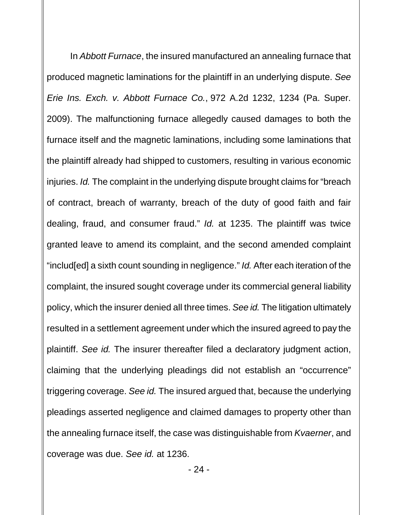In *Abbott Furnace*, the insured manufactured an annealing furnace that produced magnetic laminations for the plaintiff in an underlying dispute. *See Erie Ins. Exch. v. Abbott Furnace Co.*, 972 A.2d 1232, 1234 (Pa. Super. 2009). The malfunctioning furnace allegedly caused damages to both the furnace itself and the magnetic laminations, including some laminations that the plaintiff already had shipped to customers, resulting in various economic injuries. *Id.* The complaint in the underlying dispute brought claims for "breach of contract, breach of warranty, breach of the duty of good faith and fair dealing, fraud, and consumer fraud." *Id.* at 1235. The plaintiff was twice granted leave to amend its complaint, and the second amended complaint "includ[ed] a sixth count sounding in negligence." *Id.* After each iteration of the complaint, the insured sought coverage under its commercial general liability policy, which the insurer denied all three times. *See id.* The litigation ultimately resulted in a settlement agreement under which the insured agreed to pay the plaintiff. *See id.* The insurer thereafter filed a declaratory judgment action, claiming that the underlying pleadings did not establish an "occurrence" triggering coverage. *See id.* The insured argued that, because the underlying pleadings asserted negligence and claimed damages to property other than the annealing furnace itself, the case was distinguishable from *Kvaerner*, and coverage was due. *See id.* at 1236.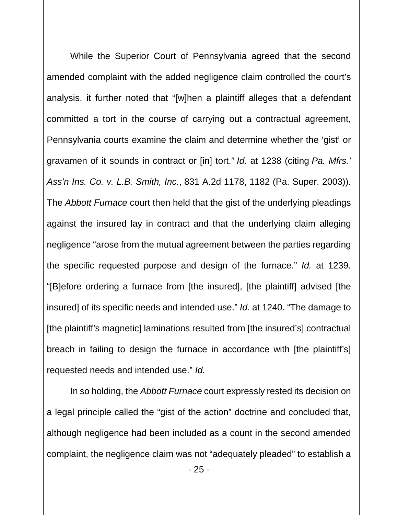While the Superior Court of Pennsylvania agreed that the second amended complaint with the added negligence claim controlled the court's analysis, it further noted that "[w]hen a plaintiff alleges that a defendant committed a tort in the course of carrying out a contractual agreement, Pennsylvania courts examine the claim and determine whether the 'gist' or gravamen of it sounds in contract or [in] tort." *Id.* at 1238 (citing *Pa. Mfrs.' Ass'n Ins. Co. v. L.B. Smith, Inc.*, 831 A.2d 1178, 1182 (Pa. Super. 2003)). The *Abbott Furnace* court then held that the gist of the underlying pleadings against the insured lay in contract and that the underlying claim alleging negligence "arose from the mutual agreement between the parties regarding the specific requested purpose and design of the furnace." *Id.* at 1239. "[B]efore ordering a furnace from [the insured], [the plaintiff] advised [the insured] of its specific needs and intended use." *Id.* at 1240. "The damage to [the plaintiff's magnetic] laminations resulted from [the insured's] contractual breach in failing to design the furnace in accordance with [the plaintiff's] requested needs and intended use." *Id.*

In so holding, the *Abbott Furnace* court expressly rested its decision on a legal principle called the "gist of the action" doctrine and concluded that, although negligence had been included as a count in the second amended complaint, the negligence claim was not "adequately pleaded" to establish a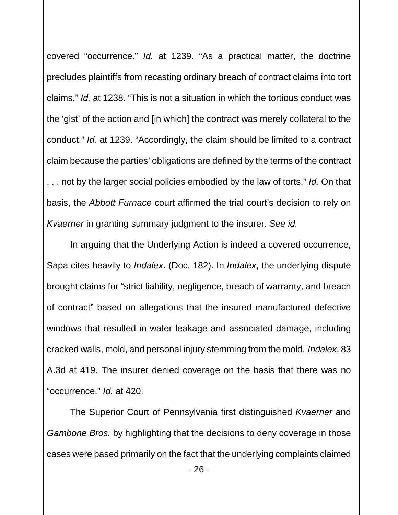covered "occurrence." *Id.* at 1239. "As a practical matter, the doctrine precludes plaintiffs from recasting ordinary breach of contract claims into tort claims." *Id.* at 1238. "This is not a situation in which the tortious conduct was the 'gist' of the action and [in which] the contract was merely collateral to the conduct." *Id.* at 1239. "Accordingly, the claim should be limited to a contract claim because the parties' obligations are defined by the terms of the contract . . . not by the larger social policies embodied by the law of torts." *Id.* On that basis, the *Abbott Furnace* court affirmed the trial court's decision to rely on *Kvaerner* in granting summary judgment to the insurer. *See id.*

In arguing that the Underlying Action is indeed a covered occurrence, Sapa cites heavily to *Indalex*. (Doc. 182). In *Indalex*, the underlying dispute brought claims for "strict liability, negligence, breach of warranty, and breach of contract" based on allegations that the insured manufactured defective windows that resulted in water leakage and associated damage, including cracked walls, mold, and personal injury stemming from the mold. *Indalex*, 83 A.3d at 419. The insurer denied coverage on the basis that there was no "occurrence." *Id.* at 420.

The Superior Court of Pennsylvania first distinguished *Kvaerner* and *Gambone Bros.* by highlighting that the decisions to deny coverage in those cases were based primarily on the fact that the underlying complaints claimed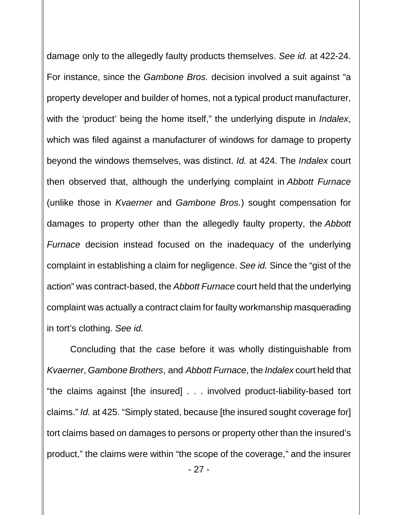damage only to the allegedly faulty products themselves. *See id.* at 422-24. For instance, since the *Gambone Bros.* decision involved a suit against "a property developer and builder of homes, not a typical product manufacturer, with the 'product' being the home itself," the underlying dispute in *Indalex*, which was filed against a manufacturer of windows for damage to property beyond the windows themselves, was distinct. *Id.* at 424. The *Indalex* court then observed that, although the underlying complaint in *Abbott Furnace* (unlike those in *Kvaerner* and *Gambone Bros.*) sought compensation for damages to property other than the allegedly faulty property, the *Abbott Furnace* decision instead focused on the inadequacy of the underlying complaint in establishing a claim for negligence. *See id.* Since the "gist of the action" was contract-based, the *Abbott Furnace* court held that the underlying complaint was actually a contract claim for faulty workmanship masquerading in tort's clothing. *See id.*

Concluding that the case before it was wholly distinguishable from *Kvaerner*, *Gambone Brothers*, and *Abbott Furnace*, the *Indalex* court held that "the claims against [the insured] . . . involved product-liability-based tort claims." *Id.* at 425. "Simply stated, because [the insured sought coverage for] tort claims based on damages to persons or property other than the insured's product," the claims were within "the scope of the coverage," and the insurer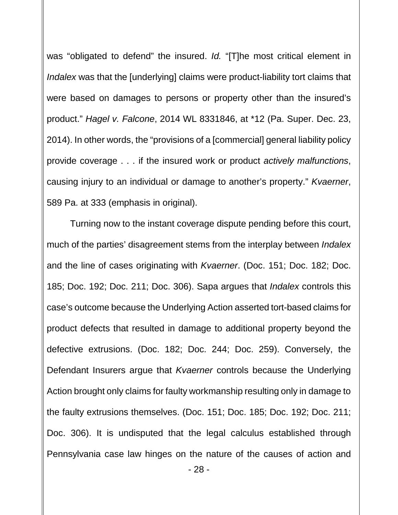was "obligated to defend" the insured. *Id.* "[T]he most critical element in *Indalex* was that the [underlying] claims were product-liability tort claims that were based on damages to persons or property other than the insured's product." *Hagel v. Falcone*, 2014 WL 8331846, at \*12 (Pa. Super. Dec. 23, 2014). In other words, the "provisions of a [commercial] general liability policy provide coverage . . . if the insured work or product *actively malfunctions*, causing injury to an individual or damage to another's property." *Kvaerner*, 589 Pa. at 333 (emphasis in original).

Turning now to the instant coverage dispute pending before this court, much of the parties' disagreement stems from the interplay between *Indalex* and the line of cases originating with *Kvaerner*. (Doc. 151; Doc. 182; Doc. 185; Doc. 192; Doc. 211; Doc. 306). Sapa argues that *Indalex* controls this case's outcome because the Underlying Action asserted tort-based claims for product defects that resulted in damage to additional property beyond the defective extrusions. (Doc. 182; Doc. 244; Doc. 259). Conversely, the Defendant Insurers argue that *Kvaerner* controls because the Underlying Action brought only claims for faulty workmanship resulting only in damage to the faulty extrusions themselves. (Doc. 151; Doc. 185; Doc. 192; Doc. 211; Doc. 306). It is undisputed that the legal calculus established through Pennsylvania case law hinges on the nature of the causes of action and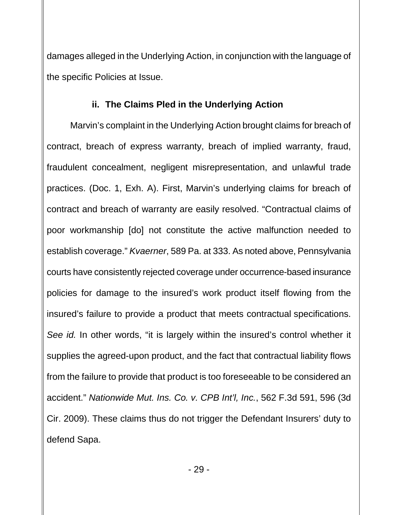damages alleged in the Underlying Action, in conjunction with the language of the specific Policies at Issue.

### **ii. The Claims Pled in the Underlying Action**

Marvin's complaint in the Underlying Action brought claims for breach of contract, breach of express warranty, breach of implied warranty, fraud, fraudulent concealment, negligent misrepresentation, and unlawful trade practices. (Doc. 1, Exh. A). First, Marvin's underlying claims for breach of contract and breach of warranty are easily resolved. "Contractual claims of poor workmanship [do] not constitute the active malfunction needed to establish coverage." *Kvaerner*, 589 Pa. at 333. As noted above, Pennsylvania courts have consistently rejected coverage under occurrence-based insurance policies for damage to the insured's work product itself flowing from the insured's failure to provide a product that meets contractual specifications. *See id.* In other words, "it is largely within the insured's control whether it supplies the agreed-upon product, and the fact that contractual liability flows from the failure to provide that product is too foreseeable to be considered an accident." *Nationwide Mut. Ins. Co. v. CPB Int'l, Inc.*, 562 F.3d 591, 596 (3d Cir. 2009). These claims thus do not trigger the Defendant Insurers' duty to defend Sapa.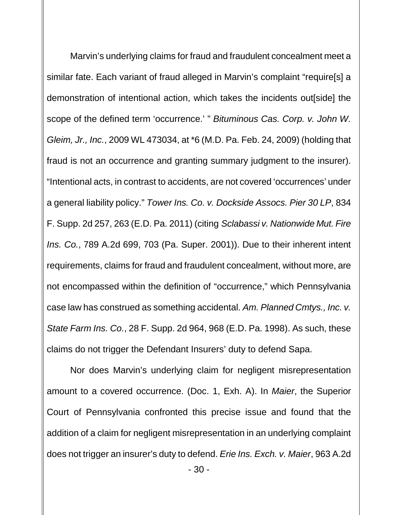Marvin's underlying claims for fraud and fraudulent concealment meet a similar fate. Each variant of fraud alleged in Marvin's complaint "require[s] a demonstration of intentional action, which takes the incidents out[side] the scope of the defined term 'occurrence.' " *Bituminous Cas. Corp. v. John W. Gleim, Jr., Inc.*, 2009 WL 473034, at \*6 (M.D. Pa. Feb. 24, 2009) (holding that fraud is not an occurrence and granting summary judgment to the insurer). "Intentional acts, in contrast to accidents, are not covered 'occurrences' under a general liability policy." *Tower Ins. Co. v. Dockside Assocs. Pier 30 LP*, 834 F. Supp. 2d 257, 263 (E.D. Pa. 2011) (citing *Sclabassi v. Nationwide Mut. Fire Ins. Co.*, 789 A.2d 699, 703 (Pa. Super. 2001)). Due to their inherent intent requirements, claims for fraud and fraudulent concealment, without more, are not encompassed within the definition of "occurrence," which Pennsylvania case law has construed as something accidental. *Am. Planned Cmtys., Inc. v. State Farm Ins. Co.*, 28 F. Supp. 2d 964, 968 (E.D. Pa. 1998). As such, these claims do not trigger the Defendant Insurers' duty to defend Sapa.

Nor does Marvin's underlying claim for negligent misrepresentation amount to a covered occurrence. (Doc. 1, Exh. A). In *Maier*, the Superior Court of Pennsylvania confronted this precise issue and found that the addition of a claim for negligent misrepresentation in an underlying complaint does not trigger an insurer's duty to defend. *Erie Ins. Exch. v. Maier*, 963 A.2d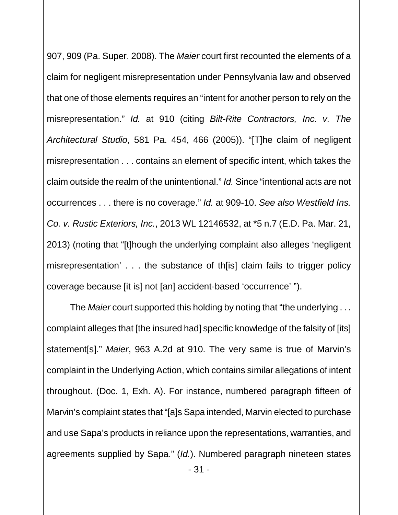907, 909 (Pa. Super. 2008). The *Maier* court first recounted the elements of a claim for negligent misrepresentation under Pennsylvania law and observed that one of those elements requires an "intent for another person to rely on the misrepresentation." *Id.* at 910 (citing *Bilt-Rite Contractors, Inc. v. The Architectural Studio*, 581 Pa. 454, 466 (2005)). "[T]he claim of negligent misrepresentation . . . contains an element of specific intent, which takes the claim outside the realm of the unintentional." *Id.* Since "intentional acts are not occurrences . . . there is no coverage." *Id.* at 909-10. *See also Westfield Ins. Co. v. Rustic Exteriors, Inc.*, 2013 WL 12146532, at \*5 n.7 (E.D. Pa. Mar. 21, 2013) (noting that "[t]hough the underlying complaint also alleges 'negligent misrepresentation' . . . the substance of th[is] claim fails to trigger policy coverage because [it is] not [an] accident-based 'occurrence' ").

The *Maier* court supported this holding by noting that "the underlying . . . complaint alleges that [the insured had] specific knowledge of the falsity of [its] statement[s]." *Maier*, 963 A.2d at 910. The very same is true of Marvin's complaint in the Underlying Action, which contains similar allegations of intent throughout. (Doc. 1, Exh. A). For instance, numbered paragraph fifteen of Marvin's complaint states that "[a]s Sapa intended, Marvin elected to purchase and use Sapa's products in reliance upon the representations, warranties, and agreements supplied by Sapa." (*Id.*). Numbered paragraph nineteen states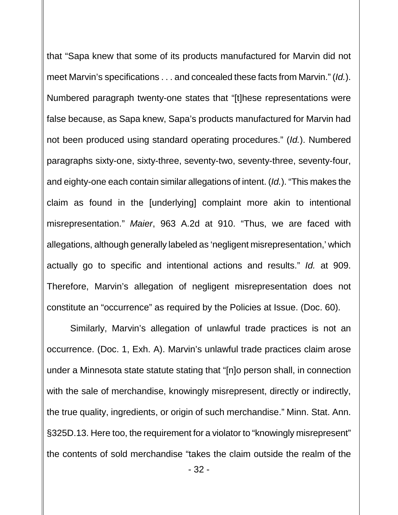that "Sapa knew that some of its products manufactured for Marvin did not meet Marvin's specifications . . . and concealed these facts from Marvin." (*Id.*). Numbered paragraph twenty-one states that "[t]hese representations were false because, as Sapa knew, Sapa's products manufactured for Marvin had not been produced using standard operating procedures." (*Id.*). Numbered paragraphs sixty-one, sixty-three, seventy-two, seventy-three, seventy-four, and eighty-one each contain similar allegations of intent. (*Id.*). "This makes the claim as found in the [underlying] complaint more akin to intentional misrepresentation." *Maier*, 963 A.2d at 910. "Thus, we are faced with allegations, although generally labeled as 'negligent misrepresentation,' which actually go to specific and intentional actions and results." *Id.* at 909. Therefore, Marvin's allegation of negligent misrepresentation does not constitute an "occurrence" as required by the Policies at Issue. (Doc. 60).

Similarly, Marvin's allegation of unlawful trade practices is not an occurrence. (Doc. 1, Exh. A). Marvin's unlawful trade practices claim arose under a Minnesota state statute stating that "[n]o person shall, in connection with the sale of merchandise, knowingly misrepresent, directly or indirectly, the true quality, ingredients, or origin of such merchandise." Minn. Stat. Ann. §325D.13. Here too, the requirement for a violator to "knowingly misrepresent" the contents of sold merchandise "takes the claim outside the realm of the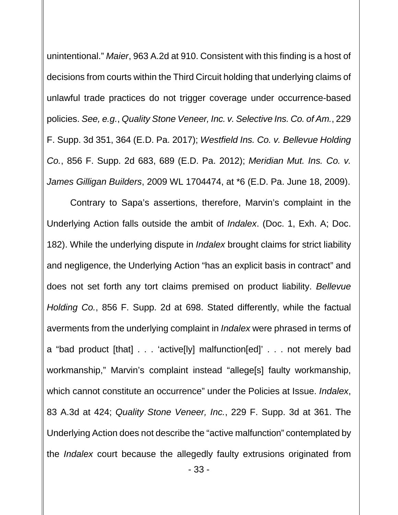unintentional." *Maier*, 963 A.2d at 910. Consistent with this finding is a host of decisions from courts within the Third Circuit holding that underlying claims of unlawful trade practices do not trigger coverage under occurrence-based policies. *See, e.g.*, *Quality Stone Veneer, Inc. v. Selective Ins. Co. of Am.*, 229 F. Supp. 3d 351, 364 (E.D. Pa. 2017); *Westfield Ins. Co. v. Bellevue Holding Co.*, 856 F. Supp. 2d 683, 689 (E.D. Pa. 2012); *Meridian Mut. Ins. Co. v. James Gilligan Builders*, 2009 WL 1704474, at \*6 (E.D. Pa. June 18, 2009).

Contrary to Sapa's assertions, therefore, Marvin's complaint in the Underlying Action falls outside the ambit of *Indalex*. (Doc. 1, Exh. A; Doc. 182). While the underlying dispute in *Indalex* brought claims for strict liability and negligence, the Underlying Action "has an explicit basis in contract" and does not set forth any tort claims premised on product liability. *Bellevue Holding Co.*, 856 F. Supp. 2d at 698. Stated differently, while the factual averments from the underlying complaint in *Indalex* were phrased in terms of a "bad product [that] . . . 'active[ly] malfunction[ed]' . . . not merely bad workmanship," Marvin's complaint instead "allege[s] faulty workmanship, which cannot constitute an occurrence" under the Policies at Issue. *Indalex*, 83 A.3d at 424; *Quality Stone Veneer, Inc.*, 229 F. Supp. 3d at 361. The Underlying Action does not describe the "active malfunction" contemplated by the *Indalex* court because the allegedly faulty extrusions originated from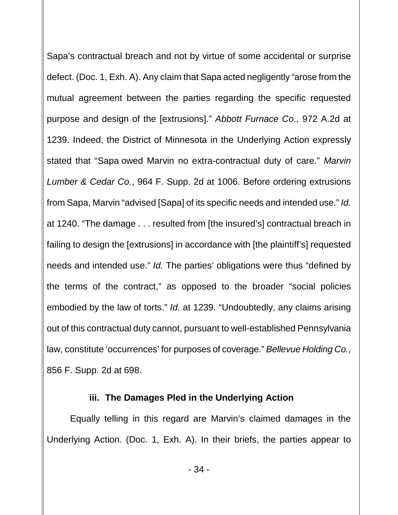Sapa's contractual breach and not by virtue of some accidental or surprise defect. (Doc. 1, Exh. A). Any claim that Sapa acted negligently "arose from the mutual agreement between the parties regarding the specific requested purpose and design of the [extrusions]." *Abbott Furnace Co.*, 972 A.2d at 1239. Indeed, the District of Minnesota in the Underlying Action expressly stated that "Sapa owed Marvin no extra-contractual duty of care." *Marvin Lumber & Cedar Co.*, 964 F. Supp. 2d at 1006. Before ordering extrusions from Sapa, Marvin "advised [Sapa] of its specific needs and intended use." *Id.* at 1240. "The damage . . . resulted from [the insured's] contractual breach in failing to design the [extrusions] in accordance with [the plaintiff's] requested needs and intended use." *Id.* The parties' obligations were thus "defined by the terms of the contract," as opposed to the broader "social policies embodied by the law of torts." *Id.* at 1239. "Undoubtedly, any claims arising out of this contractual duty cannot, pursuant to well-established Pennsylvania law, constitute 'occurrences' for purposes of coverage." *Bellevue Holding Co.*, 856 F. Supp. 2d at 698.

#### **iii. The Damages Pled in the Underlying Action**

Equally telling in this regard are Marvin's claimed damages in the Underlying Action. (Doc. 1, Exh. A). In their briefs, the parties appear to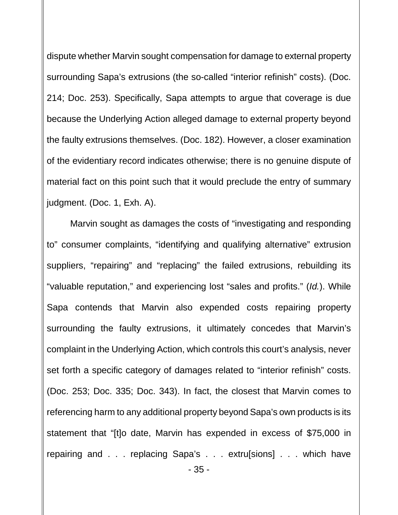dispute whether Marvin sought compensation for damage to external property surrounding Sapa's extrusions (the so-called "interior refinish" costs). (Doc. 214; Doc. 253). Specifically, Sapa attempts to argue that coverage is due because the Underlying Action alleged damage to external property beyond the faulty extrusions themselves. (Doc. 182). However, a closer examination of the evidentiary record indicates otherwise; there is no genuine dispute of material fact on this point such that it would preclude the entry of summary judgment. (Doc. 1, Exh. A).

Marvin sought as damages the costs of "investigating and responding to" consumer complaints, "identifying and qualifying alternative" extrusion suppliers, "repairing" and "replacing" the failed extrusions, rebuilding its "valuable reputation," and experiencing lost "sales and profits." (*Id.*). While Sapa contends that Marvin also expended costs repairing property surrounding the faulty extrusions, it ultimately concedes that Marvin's complaint in the Underlying Action, which controls this court's analysis, never set forth a specific category of damages related to "interior refinish" costs. (Doc. 253; Doc. 335; Doc. 343). In fact, the closest that Marvin comes to referencing harm to any additional property beyond Sapa's own products is its statement that "[t]o date, Marvin has expended in excess of \$75,000 in repairing and . . . replacing Sapa's . . . extru[sions] . . . which have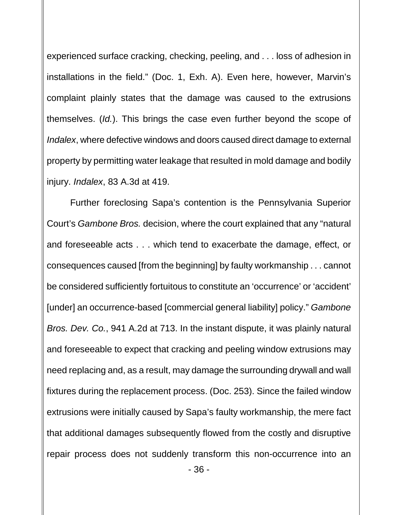experienced surface cracking, checking, peeling, and . . . loss of adhesion in installations in the field." (Doc. 1, Exh. A). Even here, however, Marvin's complaint plainly states that the damage was caused to the extrusions themselves. (*Id.*). This brings the case even further beyond the scope of *Indalex*, where defective windows and doors caused direct damage to external property by permitting water leakage that resulted in mold damage and bodily injury. *Indalex*, 83 A.3d at 419.

Further foreclosing Sapa's contention is the Pennsylvania Superior Court's *Gambone Bros.* decision, where the court explained that any "natural and foreseeable acts . . . which tend to exacerbate the damage, effect, or consequences caused [from the beginning] by faulty workmanship . . . cannot be considered sufficiently fortuitous to constitute an 'occurrence' or 'accident' [under] an occurrence-based [commercial general liability] policy." *Gambone Bros. Dev. Co.*, 941 A.2d at 713. In the instant dispute, it was plainly natural and foreseeable to expect that cracking and peeling window extrusions may need replacing and, as a result, may damage the surrounding drywall and wall fixtures during the replacement process. (Doc. 253). Since the failed window extrusions were initially caused by Sapa's faulty workmanship, the mere fact that additional damages subsequently flowed from the costly and disruptive repair process does not suddenly transform this non-occurrence into an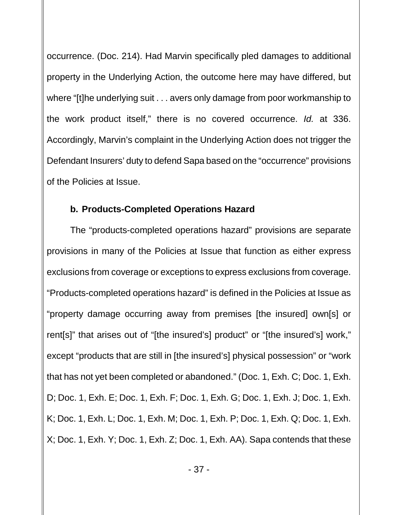occurrence. (Doc. 214). Had Marvin specifically pled damages to additional property in the Underlying Action, the outcome here may have differed, but where "[t]he underlying suit . . . avers only damage from poor workmanship to the work product itself," there is no covered occurrence. *Id.* at 336. Accordingly, Marvin's complaint in the Underlying Action does not trigger the Defendant Insurers' duty to defend Sapa based on the "occurrence" provisions of the Policies at Issue.

## **b. Products-Completed Operations Hazard**

The "products-completed operations hazard" provisions are separate provisions in many of the Policies at Issue that function as either express exclusions from coverage or exceptions to express exclusions from coverage. "Products-completed operations hazard" is defined in the Policies at Issue as "property damage occurring away from premises [the insured] own[s] or rent[s]" that arises out of "[the insured's] product" or "[the insured's] work," except "products that are still in [the insured's] physical possession" or "work that has not yet been completed or abandoned." (Doc. 1, Exh. C; Doc. 1, Exh. D; Doc. 1, Exh. E; Doc. 1, Exh. F; Doc. 1, Exh. G; Doc. 1, Exh. J; Doc. 1, Exh. K; Doc. 1, Exh. L; Doc. 1, Exh. M; Doc. 1, Exh. P; Doc. 1, Exh. Q; Doc. 1, Exh. X; Doc. 1, Exh. Y; Doc. 1, Exh. Z; Doc. 1, Exh. AA). Sapa contends that these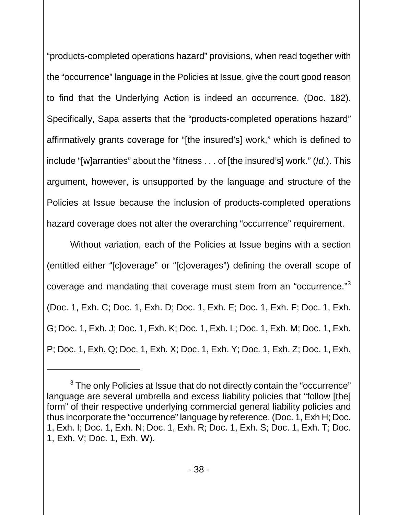"products-completed operations hazard" provisions, when read together with the "occurrence" language in the Policies at Issue, give the court good reason to find that the Underlying Action is indeed an occurrence. (Doc. 182). Specifically, Sapa asserts that the "products-completed operations hazard" affirmatively grants coverage for "[the insured's] work," which is defined to include "[w]arranties" about the "fitness . . . of [the insured's] work." (*Id.*). This argument, however, is unsupported by the language and structure of the Policies at Issue because the inclusion of products-completed operations hazard coverage does not alter the overarching "occurrence" requirement.

Without variation, each of the Policies at Issue begins with a section (entitled either "[c]overage" or "[c]overages") defining the overall scope of coverage and mandating that coverage must stem from an "occurrence."[3](#page-37-0) (Doc. 1, Exh. C; Doc. 1, Exh. D; Doc. 1, Exh. E; Doc. 1, Exh. F; Doc. 1, Exh. G; Doc. 1, Exh. J; Doc. 1, Exh. K; Doc. 1, Exh. L; Doc. 1, Exh. M; Doc. 1, Exh. P; Doc. 1, Exh. Q; Doc. 1, Exh. X; Doc. 1, Exh. Y; Doc. 1, Exh. Z; Doc. 1, Exh.

 $\overline{a}$ 

<span id="page-37-0"></span> $3$  The only Policies at Issue that do not directly contain the "occurrence" language are several umbrella and excess liability policies that "follow [the] form" of their respective underlying commercial general liability policies and thus incorporate the "occurrence" language by reference. (Doc. 1, Exh H; Doc. 1, Exh. I; Doc. 1, Exh. N; Doc. 1, Exh. R; Doc. 1, Exh. S; Doc. 1, Exh. T; Doc. 1, Exh. V; Doc. 1, Exh. W).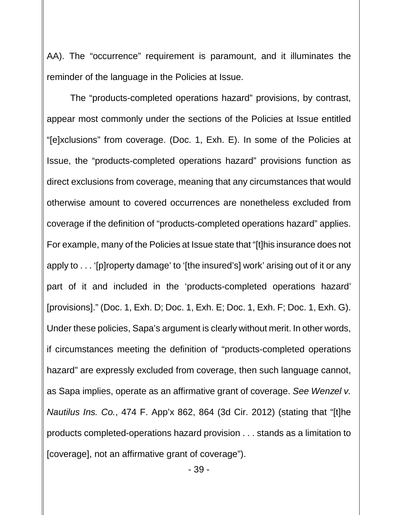AA). The "occurrence" requirement is paramount, and it illuminates the reminder of the language in the Policies at Issue.

The "products-completed operations hazard" provisions, by contrast, appear most commonly under the sections of the Policies at Issue entitled "[e]xclusions" from coverage. (Doc. 1, Exh. E). In some of the Policies at Issue, the "products-completed operations hazard" provisions function as direct exclusions from coverage, meaning that any circumstances that would otherwise amount to covered occurrences are nonetheless excluded from coverage if the definition of "products-completed operations hazard" applies. For example, many of the Policies at Issue state that "[t]his insurance does not apply to . . . '[p]roperty damage' to '[the insured's] work' arising out of it or any part of it and included in the 'products-completed operations hazard' [provisions]." (Doc. 1, Exh. D; Doc. 1, Exh. E; Doc. 1, Exh. F; Doc. 1, Exh. G). Under these policies, Sapa's argument is clearly without merit. In other words, if circumstances meeting the definition of "products-completed operations hazard" are expressly excluded from coverage, then such language cannot, as Sapa implies, operate as an affirmative grant of coverage. *See Wenzel v. Nautilus Ins. Co.*, 474 F. App'x 862, 864 (3d Cir. 2012) (stating that "[t]he products completed-operations hazard provision . . . stands as a limitation to [coverage], not an affirmative grant of coverage").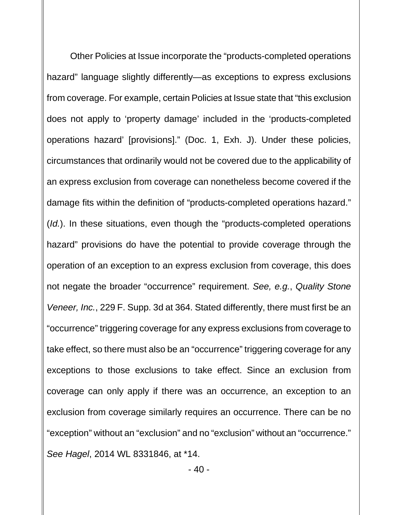Other Policies at Issue incorporate the "products-completed operations hazard" language slightly differently—as exceptions to express exclusions from coverage. For example, certain Policies at Issue state that "this exclusion does not apply to 'property damage' included in the 'products-completed operations hazard' [provisions]." (Doc. 1, Exh. J). Under these policies, circumstances that ordinarily would not be covered due to the applicability of an express exclusion from coverage can nonetheless become covered if the damage fits within the definition of "products-completed operations hazard." (*Id.*). In these situations, even though the "products-completed operations hazard" provisions do have the potential to provide coverage through the operation of an exception to an express exclusion from coverage, this does not negate the broader "occurrence" requirement. *See, e.g.*, *Quality Stone Veneer, Inc.*, 229 F. Supp. 3d at 364. Stated differently, there must first be an "occurrence" triggering coverage for any express exclusions from coverage to take effect, so there must also be an "occurrence" triggering coverage for any exceptions to those exclusions to take effect. Since an exclusion from coverage can only apply if there was an occurrence, an exception to an exclusion from coverage similarly requires an occurrence. There can be no "exception" without an "exclusion" and no "exclusion" without an "occurrence." *See Hagel*, 2014 WL 8331846, at \*14.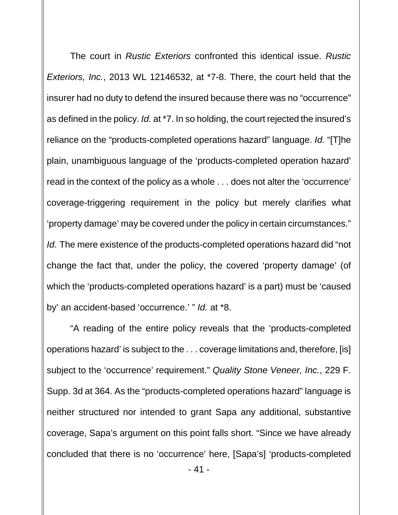The court in *Rustic Exteriors* confronted this identical issue. *Rustic Exteriors, Inc.*, 2013 WL 12146532, at \*7-8. There, the court held that the insurer had no duty to defend the insured because there was no "occurrence" as defined in the policy. *Id.* at \*7. In so holding, the court rejected the insured's reliance on the "products-completed operations hazard" language. *Id.* "[T]he plain, unambiguous language of the 'products-completed operation hazard' read in the context of the policy as a whole . . . does not alter the 'occurrence' coverage-triggering requirement in the policy but merely clarifies what 'property damage' may be covered under the policy in certain circumstances." *Id.* The mere existence of the products-completed operations hazard did "not change the fact that, under the policy, the covered 'property damage' (of which the 'products-completed operations hazard' is a part) must be 'caused by' an accident-based 'occurrence.' " *Id.* at \*8.

"A reading of the entire policy reveals that the 'products-completed operations hazard' is subject to the . . . coverage limitations and, therefore, [is] subject to the 'occurrence' requirement." *Quality Stone Veneer, Inc.*, 229 F. Supp. 3d at 364. As the "products-completed operations hazard" language is neither structured nor intended to grant Sapa any additional, substantive coverage, Sapa's argument on this point falls short. "Since we have already concluded that there is no 'occurrence' here, [Sapa's] 'products-completed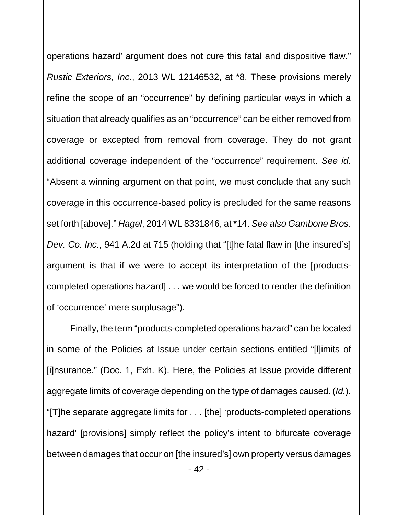operations hazard' argument does not cure this fatal and dispositive flaw." *Rustic Exteriors, Inc.*, 2013 WL 12146532, at \*8. These provisions merely refine the scope of an "occurrence" by defining particular ways in which a situation that already qualifies as an "occurrence" can be either removed from coverage or excepted from removal from coverage. They do not grant additional coverage independent of the "occurrence" requirement. *See id.* "Absent a winning argument on that point, we must conclude that any such coverage in this occurrence-based policy is precluded for the same reasons set forth [above]." *Hagel*, 2014 WL 8331846, at \*14. *See also Gambone Bros. Dev. Co. Inc.*, 941 A.2d at 715 (holding that "[t]he fatal flaw in [the insured's] argument is that if we were to accept its interpretation of the [productscompleted operations hazard] . . . we would be forced to render the definition of 'occurrence' mere surplusage").

Finally, the term "products-completed operations hazard" can be located in some of the Policies at Issue under certain sections entitled "[l]imits of [i]nsurance." (Doc. 1, Exh. K). Here, the Policies at Issue provide different aggregate limits of coverage depending on the type of damages caused. (*Id.*). "[T]he separate aggregate limits for . . . [the] 'products-completed operations hazard' [provisions] simply reflect the policy's intent to bifurcate coverage between damages that occur on [the insured's] own property versus damages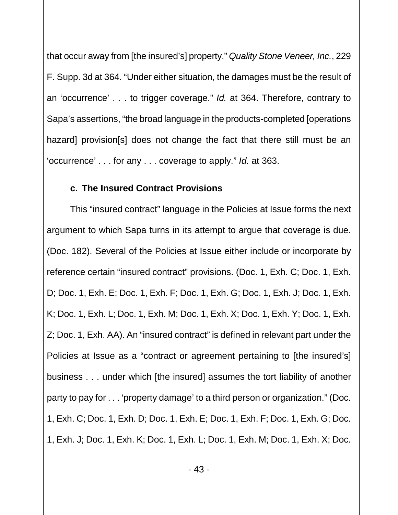that occur away from [the insured's] property." *Quality Stone Veneer, Inc.*, 229 F. Supp. 3d at 364. "Under either situation, the damages must be the result of an 'occurrence' . . . to trigger coverage." *Id.* at 364. Therefore, contrary to Sapa's assertions, "the broad language in the products-completed [operations hazard] provision[s] does not change the fact that there still must be an 'occurrence' . . . for any . . . coverage to apply." *Id.* at 363.

#### **c. The Insured Contract Provisions**

This "insured contract" language in the Policies at Issue forms the next argument to which Sapa turns in its attempt to argue that coverage is due. (Doc. 182). Several of the Policies at Issue either include or incorporate by reference certain "insured contract" provisions. (Doc. 1, Exh. C; Doc. 1, Exh. D; Doc. 1, Exh. E; Doc. 1, Exh. F; Doc. 1, Exh. G; Doc. 1, Exh. J; Doc. 1, Exh. K; Doc. 1, Exh. L; Doc. 1, Exh. M; Doc. 1, Exh. X; Doc. 1, Exh. Y; Doc. 1, Exh. Z; Doc. 1, Exh. AA). An "insured contract" is defined in relevant part under the Policies at Issue as a "contract or agreement pertaining to [the insured's] business . . . under which [the insured] assumes the tort liability of another party to pay for . . . 'property damage' to a third person or organization." (Doc. 1, Exh. C; Doc. 1, Exh. D; Doc. 1, Exh. E; Doc. 1, Exh. F; Doc. 1, Exh. G; Doc. 1, Exh. J; Doc. 1, Exh. K; Doc. 1, Exh. L; Doc. 1, Exh. M; Doc. 1, Exh. X; Doc.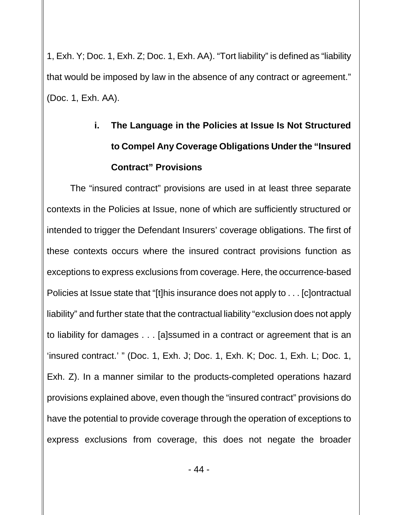1, Exh. Y; Doc. 1, Exh. Z; Doc. 1, Exh. AA). "Tort liability" is defined as "liability that would be imposed by law in the absence of any contract or agreement." (Doc. 1, Exh. AA).

# **i. The Language in the Policies at Issue Is Not Structured to Compel Any Coverage Obligations Under the "Insured Contract" Provisions**

The "insured contract" provisions are used in at least three separate contexts in the Policies at Issue, none of which are sufficiently structured or intended to trigger the Defendant Insurers' coverage obligations. The first of these contexts occurs where the insured contract provisions function as exceptions to express exclusions from coverage. Here, the occurrence-based Policies at Issue state that "[t]his insurance does not apply to . . . [c]ontractual liability" and further state that the contractual liability "exclusion does not apply to liability for damages . . . [a]ssumed in a contract or agreement that is an 'insured contract.' " (Doc. 1, Exh. J; Doc. 1, Exh. K; Doc. 1, Exh. L; Doc. 1, Exh. Z). In a manner similar to the products-completed operations hazard provisions explained above, even though the "insured contract" provisions do have the potential to provide coverage through the operation of exceptions to express exclusions from coverage, this does not negate the broader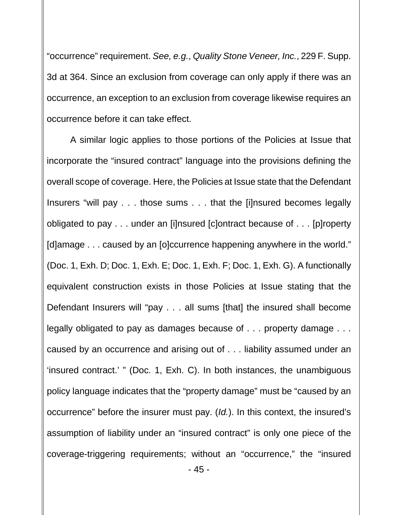"occurrence" requirement. *See, e.g.*, *Quality Stone Veneer, Inc.*, 229 F. Supp. 3d at 364. Since an exclusion from coverage can only apply if there was an occurrence, an exception to an exclusion from coverage likewise requires an occurrence before it can take effect.

A similar logic applies to those portions of the Policies at Issue that incorporate the "insured contract" language into the provisions defining the overall scope of coverage. Here, the Policies at Issue state that the Defendant Insurers "will pay . . . those sums . . . that the [i]nsured becomes legally obligated to pay . . . under an [i]nsured [c]ontract because of . . . [p]roperty [d]amage . . . caused by an [o]ccurrence happening anywhere in the world." (Doc. 1, Exh. D; Doc. 1, Exh. E; Doc. 1, Exh. F; Doc. 1, Exh. G). A functionally equivalent construction exists in those Policies at Issue stating that the Defendant Insurers will "pay . . . all sums [that] the insured shall become legally obligated to pay as damages because of . . . property damage . . . caused by an occurrence and arising out of . . . liability assumed under an 'insured contract.' " (Doc. 1, Exh. C). In both instances, the unambiguous policy language indicates that the "property damage" must be "caused by an occurrence" before the insurer must pay. (*Id.*). In this context, the insured's assumption of liability under an "insured contract" is only one piece of the coverage-triggering requirements; without an "occurrence," the "insured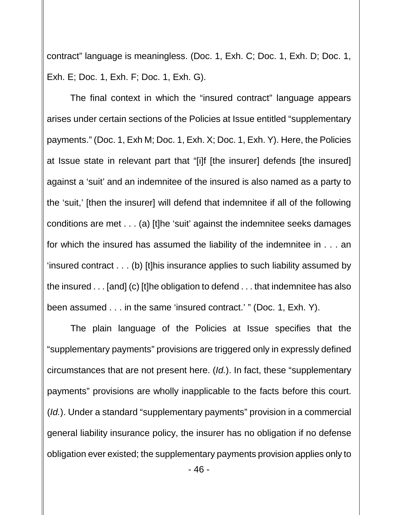contract" language is meaningless. (Doc. 1, Exh. C; Doc. 1, Exh. D; Doc. 1, Exh. E; Doc. 1, Exh. F; Doc. 1, Exh. G).

The final context in which the "insured contract" language appears arises under certain sections of the Policies at Issue entitled "supplementary payments." (Doc. 1, Exh M; Doc. 1, Exh. X; Doc. 1, Exh. Y). Here, the Policies at Issue state in relevant part that "[i]f [the insurer] defends [the insured] against a 'suit' and an indemnitee of the insured is also named as a party to the 'suit,' [then the insurer] will defend that indemnitee if all of the following conditions are met . . . (a) [t]he 'suit' against the indemnitee seeks damages for which the insured has assumed the liability of the indemnitee in . . . an 'insured contract . . . (b) [t]his insurance applies to such liability assumed by the insured . . . [and] (c) [t]he obligation to defend . . . that indemnitee has also been assumed . . . in the same 'insured contract.' " (Doc. 1, Exh. Y).

The plain language of the Policies at Issue specifies that the "supplementary payments" provisions are triggered only in expressly defined circumstances that are not present here. (*Id.*). In fact, these "supplementary payments" provisions are wholly inapplicable to the facts before this court. (*Id.*). Under a standard "supplementary payments" provision in a commercial general liability insurance policy, the insurer has no obligation if no defense obligation ever existed; the supplementary payments provision applies only to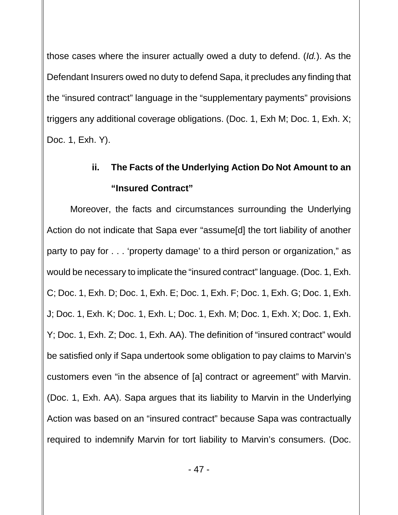those cases where the insurer actually owed a duty to defend. (*Id.*). As the Defendant Insurers owed no duty to defend Sapa, it precludes any finding that the "insured contract" language in the "supplementary payments" provisions triggers any additional coverage obligations. (Doc. 1, Exh M; Doc. 1, Exh. X; Doc. 1, Exh. Y).

# **ii. The Facts of the Underlying Action Do Not Amount to an "Insured Contract"**

Moreover, the facts and circumstances surrounding the Underlying Action do not indicate that Sapa ever "assume[d] the tort liability of another party to pay for . . . 'property damage' to a third person or organization," as would be necessary to implicate the "insured contract" language. (Doc. 1, Exh. C; Doc. 1, Exh. D; Doc. 1, Exh. E; Doc. 1, Exh. F; Doc. 1, Exh. G; Doc. 1, Exh. J; Doc. 1, Exh. K; Doc. 1, Exh. L; Doc. 1, Exh. M; Doc. 1, Exh. X; Doc. 1, Exh. Y; Doc. 1, Exh. Z; Doc. 1, Exh. AA). The definition of "insured contract" would be satisfied only if Sapa undertook some obligation to pay claims to Marvin's customers even "in the absence of [a] contract or agreement" with Marvin. (Doc. 1, Exh. AA). Sapa argues that its liability to Marvin in the Underlying Action was based on an "insured contract" because Sapa was contractually required to indemnify Marvin for tort liability to Marvin's consumers. (Doc.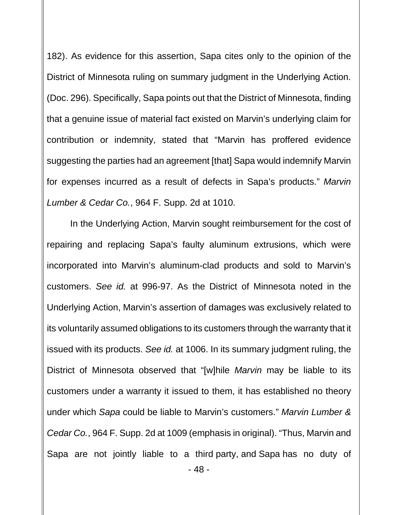182). As evidence for this assertion, Sapa cites only to the opinion of the District of Minnesota ruling on summary judgment in the Underlying Action. (Doc. 296). Specifically, Sapa points out that the District of Minnesota, finding that a genuine issue of material fact existed on Marvin's underlying claim for contribution or indemnity, stated that "Marvin has proffered evidence suggesting the parties had an agreement [that] Sapa would indemnify Marvin for expenses incurred as a result of defects in Sapa's products." *Marvin Lumber & Cedar Co.*, 964 F. Supp. 2d at 1010.

In the Underlying Action, Marvin sought reimbursement for the cost of repairing and replacing Sapa's faulty aluminum extrusions, which were incorporated into Marvin's aluminum-clad products and sold to Marvin's customers. *See id.* at 996-97. As the District of Minnesota noted in the Underlying Action, Marvin's assertion of damages was exclusively related to its voluntarily assumed obligations to its customers through the warranty that it issued with its products. *See id.* at 1006. In its summary judgment ruling, the District of Minnesota observed that "[w]hile *Marvin* may be liable to its customers under a warranty it issued to them, it has established no theory under which *Sapa* could be liable to Marvin's customers." *Marvin Lumber & Cedar Co.*, 964 F. Supp. 2d at 1009 (emphasis in original). "Thus, Marvin and Sapa are not jointly liable to a third party, and Sapa has no duty of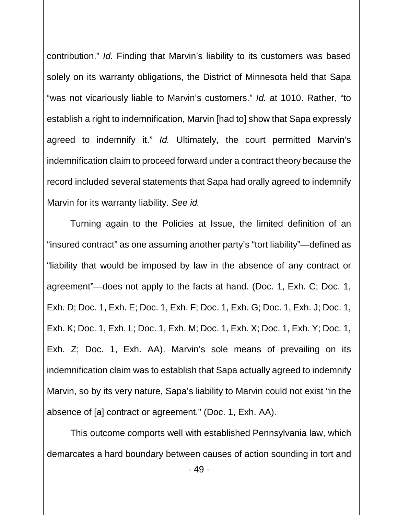contribution." *Id.* Finding that Marvin's liability to its customers was based solely on its warranty obligations, the District of Minnesota held that Sapa "was not vicariously liable to Marvin's customers." *Id.* at 1010. Rather, "to establish a right to indemnification, Marvin [had to] show that Sapa expressly agreed to indemnify it." *Id.* Ultimately, the court permitted Marvin's indemnification claim to proceed forward under a contract theory because the record included several statements that Sapa had orally agreed to indemnify Marvin for its warranty liability. *See id.*

Turning again to the Policies at Issue, the limited definition of an "insured contract" as one assuming another party's "tort liability"—defined as "liability that would be imposed by law in the absence of any contract or agreement"—does not apply to the facts at hand. (Doc. 1, Exh. C; Doc. 1, Exh. D; Doc. 1, Exh. E; Doc. 1, Exh. F; Doc. 1, Exh. G; Doc. 1, Exh. J; Doc. 1, Exh. K; Doc. 1, Exh. L; Doc. 1, Exh. M; Doc. 1, Exh. X; Doc. 1, Exh. Y; Doc. 1, Exh. Z; Doc. 1, Exh. AA). Marvin's sole means of prevailing on its indemnification claim was to establish that Sapa actually agreed to indemnify Marvin, so by its very nature, Sapa's liability to Marvin could not exist "in the absence of [a] contract or agreement." (Doc. 1, Exh. AA).

This outcome comports well with established Pennsylvania law, which demarcates a hard boundary between causes of action sounding in tort and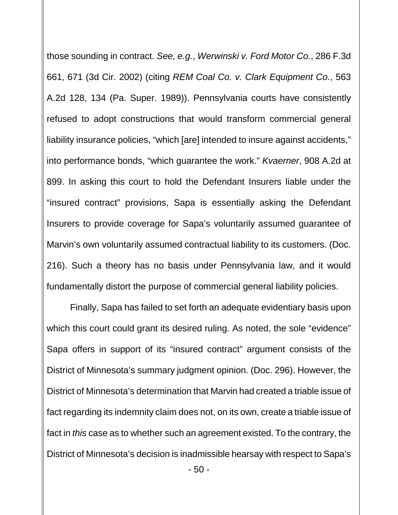those sounding in contract. *See, e.g.*, *Werwinski v. Ford Motor Co.*, 286 F.3d 661, 671 (3d Cir. 2002) (citing *REM Coal Co. v. Clark Equipment Co.*, 563 A.2d 128, 134 (Pa. Super. 1989)). Pennsylvania courts have consistently refused to adopt constructions that would transform commercial general liability insurance policies, "which [are] intended to insure against accidents," into performance bonds, "which guarantee the work." *Kvaerner*, 908 A.2d at 899. In asking this court to hold the Defendant Insurers liable under the "insured contract" provisions, Sapa is essentially asking the Defendant Insurers to provide coverage for Sapa's voluntarily assumed guarantee of Marvin's own voluntarily assumed contractual liability to its customers. (Doc. 216). Such a theory has no basis under Pennsylvania law, and it would fundamentally distort the purpose of commercial general liability policies.

Finally, Sapa has failed to set forth an adequate evidentiary basis upon which this court could grant its desired ruling. As noted, the sole "evidence" Sapa offers in support of its "insured contract" argument consists of the District of Minnesota's summary judgment opinion. (Doc. 296). However, the District of Minnesota's determination that Marvin had created a triable issue of fact regarding its indemnity claim does not, on its own, create a triable issue of fact in *this* case as to whether such an agreement existed. To the contrary, the District of Minnesota's decision is inadmissible hearsay with respect to Sapa's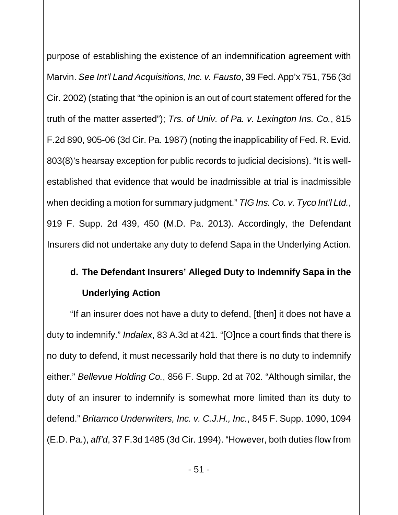purpose of establishing the existence of an indemnification agreement with Marvin. *See Int'l Land Acquisitions, Inc. v. Fausto*, 39 Fed. App'x 751, 756 (3d Cir. 2002) (stating that "the opinion is an out of court statement offered for the truth of the matter asserted"); *Trs. of Univ. of Pa. v. Lexington Ins. Co.*, 815 F.2d 890, 905-06 (3d Cir. Pa. 1987) (noting the inapplicability of Fed. R. Evid. 803(8)'s hearsay exception for public records to judicial decisions). "It is wellestablished that evidence that would be inadmissible at trial is inadmissible when deciding a motion for summary judgment." *TIG Ins. Co. v. Tyco Int'l Ltd.*, 919 F. Supp. 2d 439, 450 (M.D. Pa. 2013). Accordingly, the Defendant Insurers did not undertake any duty to defend Sapa in the Underlying Action.

# **d. The Defendant Insurers' Alleged Duty to Indemnify Sapa in the Underlying Action**

"If an insurer does not have a duty to defend, [then] it does not have a duty to indemnify." *Indalex*, 83 A.3d at 421. "[O]nce a court finds that there is no duty to defend, it must necessarily hold that there is no duty to indemnify either." *Bellevue Holding Co.*, 856 F. Supp. 2d at 702. "Although similar, the duty of an insurer to indemnify is somewhat more limited than its duty to defend." *Britamco Underwriters, Inc. v. C.J.H., Inc.*, 845 F. Supp. 1090, 1094 (E.D. Pa.), *aff'd*, 37 F.3d 1485 (3d Cir. 1994). "However, both duties flow from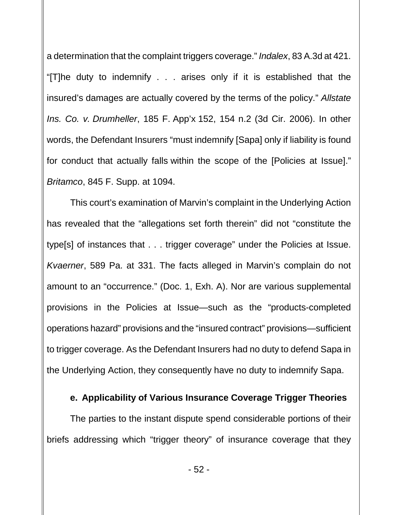a determination that the complaint triggers coverage." *Indalex*, 83 A.3d at 421. "[T]he duty to indemnify . . . arises only if it is established that the insured's damages are actually covered by the terms of the policy." *Allstate Ins. Co. v. Drumheller*, 185 F. App'x 152, 154 n.2 (3d Cir. 2006). In other words, the Defendant Insurers "must indemnify [Sapa] only if liability is found for conduct that actually falls within the scope of the [Policies at Issue]." *Britamco*, 845 F. Supp. at 1094.

This court's examination of Marvin's complaint in the Underlying Action has revealed that the "allegations set forth therein" did not "constitute the type[s] of instances that . . . trigger coverage" under the Policies at Issue. *Kvaerner*, 589 Pa. at 331. The facts alleged in Marvin's complain do not amount to an "occurrence." (Doc. 1, Exh. A). Nor are various supplemental provisions in the Policies at Issue—such as the "products-completed operations hazard" provisions and the "insured contract" provisions—sufficient to trigger coverage. As the Defendant Insurers had no duty to defend Sapa in the Underlying Action, they consequently have no duty to indemnify Sapa.

### **e. Applicability of Various Insurance Coverage Trigger Theories**

The parties to the instant dispute spend considerable portions of their briefs addressing which "trigger theory" of insurance coverage that they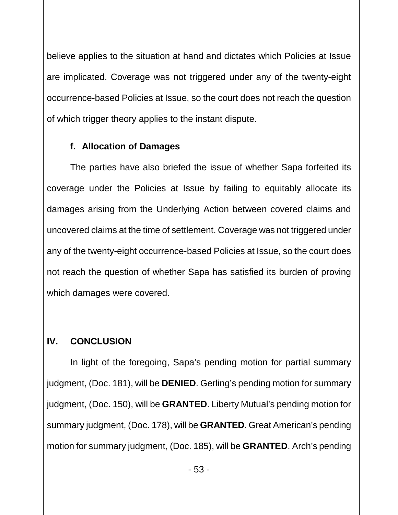believe applies to the situation at hand and dictates which Policies at Issue are implicated. Coverage was not triggered under any of the twenty-eight occurrence-based Policies at Issue, so the court does not reach the question of which trigger theory applies to the instant dispute.

## **f. Allocation of Damages**

The parties have also briefed the issue of whether Sapa forfeited its coverage under the Policies at Issue by failing to equitably allocate its damages arising from the Underlying Action between covered claims and uncovered claims at the time of settlement. Coverage was not triggered under any of the twenty-eight occurrence-based Policies at Issue, so the court does not reach the question of whether Sapa has satisfied its burden of proving which damages were covered.

## **IV. CONCLUSION**

In light of the foregoing, Sapa's pending motion for partial summary judgment, (Doc. 181), will be **DENIED**. Gerling's pending motion for summary judgment, (Doc. 150), will be **GRANTED**. Liberty Mutual's pending motion for summary judgment, (Doc. 178), will be **GRANTED**. Great American's pending motion for summary judgment, (Doc. 185), will be **GRANTED**. Arch's pending